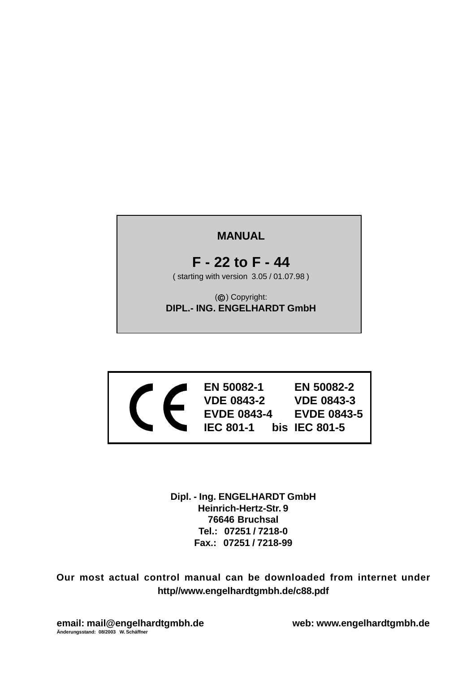# **MANUAL**

# **F - 22 to F - 44**

( starting with version 3.05 / 01.07.98 )

(©) Copyright: **DIPL.- ING. ENGELHARDT GmbH**



**EN 50082-1 EN 50082-2 VDE 0843-2 VDE 0843-3 EVDE 0843-4 EVDE 0843-5 IEC 801-1 bis IEC 801-5**

**Dipl. - Ing. ENGELHARDT GmbH Heinrich-Hertz-Str. 9 76646 Bruchsal Tel.: 07251 / 7218-0 Fax.: 07251 / 7218-99**

**Our most actual control manual can be downloaded from internet under http//www.engelhardtgmbh.de/c88.pdf**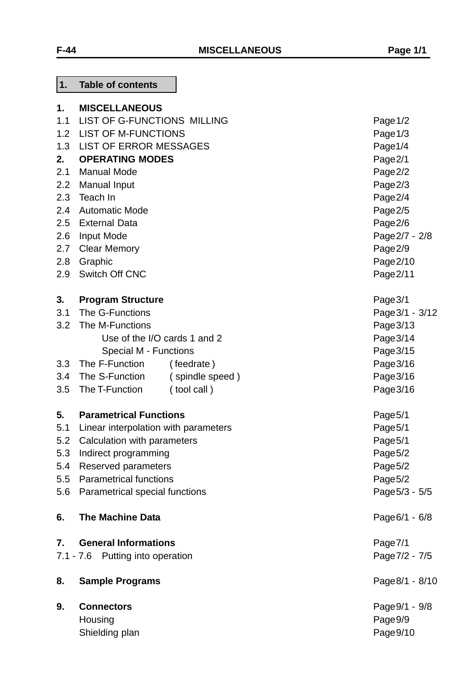| 1.  | <b>MISCELLANEOUS</b>                 |                              |                 |
|-----|--------------------------------------|------------------------------|-----------------|
| 1.1 | LIST OF G-FUNCTIONS MILLING          | Page $1/2$                   |                 |
| 1.2 | <b>LIST OF M-FUNCTIONS</b>           |                              | Page 1/3        |
| 1.3 | <b>LIST OF ERROR MESSAGES</b>        |                              | Page1/4         |
| 2.  | <b>OPERATING MODES</b>               |                              | Page2/1         |
| 2.1 | <b>Manual Mode</b>                   |                              | Page2/2         |
| 2.2 | <b>Manual Input</b>                  |                              | Page2/3         |
| 2.3 | Teach In                             |                              | Page2/4         |
| 2.4 | <b>Automatic Mode</b>                |                              | Page2/5         |
| 2.5 | <b>External Data</b>                 |                              | Page2/6         |
| 2.6 | Input Mode                           |                              | Page 2/7 - 2/8  |
| 2.7 | <b>Clear Memory</b>                  |                              | Page2/9         |
| 2.8 | Graphic                              |                              | Page $2/10$     |
| 2.9 | Switch Off CNC                       |                              | Page 2/11       |
| 3.  | <b>Program Structure</b>             |                              | Page 3/1        |
| 3.1 | The G-Functions                      |                              | Page 3/1 - 3/12 |
| 3.2 | The M-Functions                      |                              | Page 3/13       |
|     |                                      | Use of the I/O cards 1 and 2 | Page 3/14       |
|     | Special M - Functions                |                              | Page 3/15       |
| 3.3 | The F-Function                       | (feedrate)                   | Page 3/16       |
| 3.4 | The S-Function                       | (spindle speed)              | Page 3/16       |
| 3.5 | The T-Function                       | (tool call)                  | Page 3/16       |
| 5.  | <b>Parametrical Functions</b>        |                              | Page5/1         |
| 5.1 | Linear interpolation with parameters |                              | Page5/1         |
| 5.2 | Calculation with parameters          |                              | Page5/1         |
|     | 5.3 Indirect programming             |                              | Page5/2         |
| 5.4 | Reserved parameters                  |                              | Page5/2         |
| 5.5 | <b>Parametrical functions</b>        |                              | Page5/2         |
| 5.6 | Parametrical special functions       |                              | Page 5/3 - 5/5  |
| 6.  | <b>The Machine Data</b>              |                              | Page 6/1 - 6/8  |
| 7.  | <b>General Informations</b>          |                              | Page7/1         |
|     | 7.1 - 7.6 Putting into operation     |                              | Page 7/2 - 7/5  |
| 8.  | <b>Sample Programs</b>               |                              | Page 8/1 - 8/10 |
| 9.  | <b>Connectors</b>                    |                              | Page 9/1 - 9/8  |
|     | Housing                              |                              | Page9/9         |
|     | Shielding plan                       |                              | Page9/10        |

**1. Table of contents**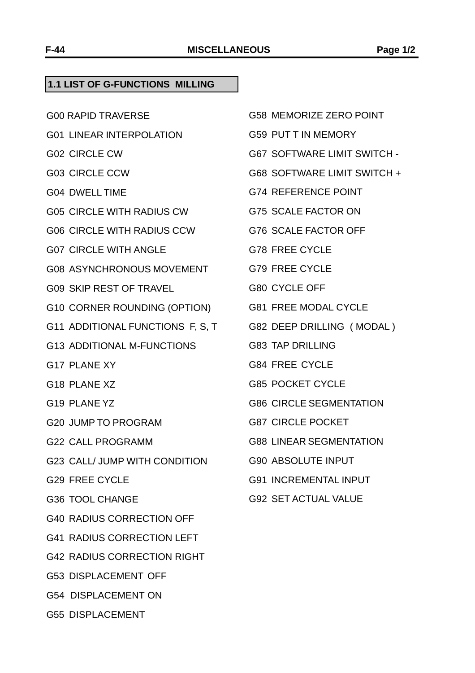#### **1.1 LIST OF G-FUNCTIONS MILLING**

- G00 RAPID TRAVERSE
- G01 LINEAR INTERPOLATION
- G02 CIRCLE CW
- G03 CIRCLE CCW
- G04 DWELL TIME
- G05 CIRCLE WITH RADIUS CW
- G06 CIRCLE WITH RADIUS CCW
- G07 CIRCLE WITH ANGLE
- G08 ASYNCHRONOUS MOVEMENT
- G09 SKIP REST OF TRAVEL
- G10 CORNER ROUNDING (OPTION)
- G11 ADDITIONAL FUNCTIONS F, S, T
- G13 ADDITIONAL M-FUNCTIONS
- G17 PLANE XY
- G18 PLANE XZ
- G19 PLANE YZ
- G20 JUMP TO PROGRAM
- G22 CALL PROGRAMM
- G23 CALL/ JUMP WITH CONDITION
- G29 FREE CYCLE
- G36 TOOL CHANGE
- G40 RADIUS CORRECTION OFF
- G41 RADIUS CORRECTION LEFT
- G42 RADIUS CORRECTION RIGHT
- G53 DISPLACEMENT OFF
- G54 DISPLACEMENT ON
- G55 DISPLACEMENT
- G58 MEMORIZE ZERO POINT
- G59 PUT T IN MEMORY
- G67 SOFTWARE LIMIT SWITCH -
- G68 SOFTWARE LIMIT SWITCH +
- G74 REFERENCE POINT
- G75 SCALE FACTOR ON
- G76 SCALE FACTOR OFF
- G78 FREE CYCLE
- G79 FREE CYCLE
- G80 CYCLE OFF
- G81 FREE MODAL CYCLE
- G82 DEEP DRILLING ( MODAL )
- G83 TAP DRILLING
- G84 FREE CYCLE
- G85 POCKET CYCLE
- G86 CIRCLE SEGMENTATION
- G87 CIRCLE POCKET
- G88 LINEAR SEGMENTATION
- G90 ABSOLUTE INPUT
- G91 INCREMENTAL INPUT
- G92 SET ACTUAL VALUE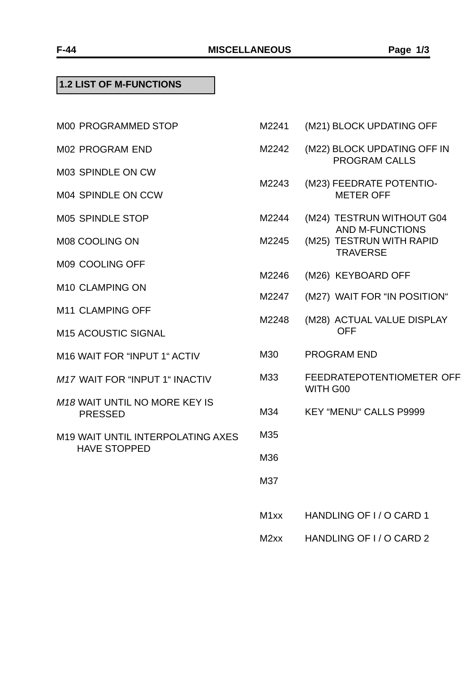### **1.2 LIST OF M-FUNCTIONS**

| <b>M00 PROGRAMMED STOP</b>                             | M2241 | (M21) BLOCK UPDATING OF                                      |
|--------------------------------------------------------|-------|--------------------------------------------------------------|
| <b>M02 PROGRAM END</b>                                 | M2242 | (M22) BLOCK UPDATING OF<br><b>PROGRAM CALLS</b>              |
| <b>M03 SPINDLE ON CW</b>                               |       |                                                              |
| <b>M04 SPINDLE ON CCW</b>                              | M2243 | (M23) FEEDRATE POTENTIO<br><b>METER OFF</b>                  |
| M05 SPINDLE STOP                                       | M2244 | (M24) TESTRUN WITHOUT                                        |
| M08 COOLING ON                                         | M2245 | AND M-FUNCTIONS<br>(M25) TESTRUN WITH RAP<br><b>TRAVERSE</b> |
| M09 COOLING OFF                                        | M2246 | (M26) KEYBOARD OFF                                           |
| M <sub>10</sub> CLAMPING ON                            |       |                                                              |
| M11 CLAMPING OFF                                       | M2247 | (M27) WAIT FOR "IN POSITI                                    |
| <b>M15 ACOUSTIC SIGNAL</b>                             | M2248 | (M28) ACTUAL VALUE DISP<br><b>OFF</b>                        |
| M16 WAIT FOR "INPUT 1" ACTIV                           | M30   | <b>PROGRAM END</b>                                           |
| M17 WAIT FOR "INPUT 1" INACTIV                         | M33   | <b>FEEDRATEPOTENTIOMETE</b><br>WITH G00                      |
| <b>M18 WAIT UNTIL NO MORE KEY IS</b><br><b>PRESSED</b> | M34   | <b>KEY "MENU" CALLS P9999</b>                                |
| M19 WAIT UNTIL INTERPOLATING AXES                      | M35   |                                                              |
| <b>HAVE STOPPED</b>                                    | M36   |                                                              |
|                                                        | M37   |                                                              |
|                                                        | M1xx  | HANDLING OF I / O CARD 1                                     |
|                                                        |       |                                                              |

M2241 (M21) BLOCK UPDATING OFF

- K UPDATING OFF IN **RAM CALLS**
- RATE POTENTIO-**ER OFF**
- RUN WITHOUT G04 M-FUNCTIONS
- RUN WITH RAPID **ERSE**
- **MOARD OFF**
- FOR "IN POSITION"
- **AL VALUE DISPLAY**
- END.
	- POTENTIOMETER OFF
- " CALLS P9999

M2xx HANDLING OF I/O CARD 2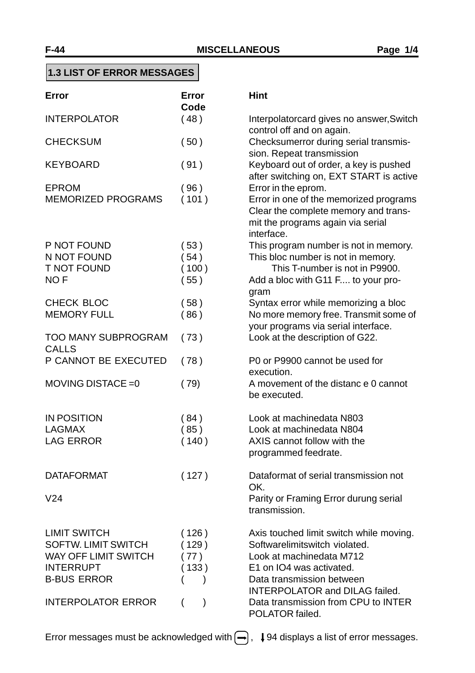|  |  |  |  |  |  | <b>1.3 LIST OF ERROR MESSAGES</b> |
|--|--|--|--|--|--|-----------------------------------|
|--|--|--|--|--|--|-----------------------------------|

| Error                                                                                                                                                   | Error<br>Code                  | <b>Hint</b>                                                                                                                                                                                                                                                      |
|---------------------------------------------------------------------------------------------------------------------------------------------------------|--------------------------------|------------------------------------------------------------------------------------------------------------------------------------------------------------------------------------------------------------------------------------------------------------------|
| <b>INTERPOLATOR</b>                                                                                                                                     | (48)                           | Interpolatorcard gives no answer, Switch<br>control off and on again.                                                                                                                                                                                            |
| <b>CHECKSUM</b>                                                                                                                                         | (50)                           | Checksumerror during serial transmis-<br>sion. Repeat transmission                                                                                                                                                                                               |
| <b>KEYBOARD</b>                                                                                                                                         | (91)                           | Keyboard out of order, a key is pushed<br>after switching on, EXT START is active                                                                                                                                                                                |
| <b>EPROM</b><br><b>MEMORIZED PROGRAMS</b>                                                                                                               | (96)<br>(101)                  | Error in the eprom.<br>Error in one of the memorized programs<br>Clear the complete memory and trans-<br>mit the programs again via serial<br>interface.                                                                                                         |
| P NOT FOUND<br>N NOT FOUND<br><b>T NOT FOUND</b><br>NO <sub>F</sub>                                                                                     | (53)<br>(54)<br>(100)<br>(55)  | This program number is not in memory.<br>This bloc number is not in memory.<br>This T-number is not in P9900.<br>Add a bloc with G11 F to your pro-<br>gram                                                                                                      |
| CHECK BLOC<br><b>MEMORY FULL</b>                                                                                                                        | (58)<br>(86)                   | Syntax error while memorizing a bloc<br>No more memory free. Transmit some of<br>your programs via serial interface.                                                                                                                                             |
| <b>TOO MANY SUBPROGRAM</b><br><b>CALLS</b>                                                                                                              | (73)                           | Look at the description of G22.                                                                                                                                                                                                                                  |
| P CANNOT BE EXECUTED                                                                                                                                    | (78)                           | P0 or P9900 cannot be used for<br>execution.                                                                                                                                                                                                                     |
| MOVING DISTACE = 0                                                                                                                                      | (79)                           | A movement of the distance 0 cannot<br>be executed.                                                                                                                                                                                                              |
| <b>IN POSITION</b><br><b>LAGMAX</b><br><b>LAG ERROR</b>                                                                                                 | (84)<br>(85)<br>(140)          | Look at machinedata N803<br>Look at machinedata N804<br>AXIS cannot follow with the<br>programmed feedrate.                                                                                                                                                      |
| <b>DATAFORMAT</b><br>V <sub>24</sub>                                                                                                                    | (127)                          | Dataformat of serial transmission not<br>OK.<br>Parity or Framing Error durung serial<br>transmission.                                                                                                                                                           |
| <b>LIMIT SWITCH</b><br><b>SOFTW. LIMIT SWITCH</b><br><b>WAY OFF LIMIT SWITCH</b><br><b>INTERRUPT</b><br><b>B-BUS ERROR</b><br><b>INTERPOLATOR ERROR</b> | (126)<br>129)<br>(77)<br>(133) | Axis touched limit switch while moving.<br>Softwarelimitswitch violated.<br>Look at machinedata M712<br>E1 on IO4 was activated.<br>Data transmission between<br><b>INTERPOLATOR and DILAG failed.</b><br>Data transmission from CPU to INTER<br>POLATOR failed. |

Error messages must be acknowledged with  $\bigoplus$ ,  $\downarrow$  94 displays a list of error messages.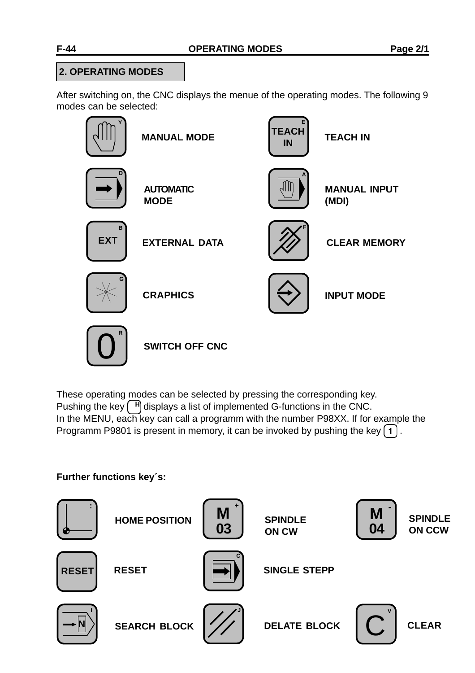## **2. OPERATING MODES**

After switching on, the CNC displays the menue of the operating modes. The following 9 modes can be selected:



These operating modes can be selected by pressing the corresponding key. Pushing the key  $\lceil \frac{H}{n} \rceil$  displays a list of implemented G-functions in the CNC. In the MENU, each key can call a programm with the number P98XX. If for example the Programm P9801 is present in memory, it can be invoked by pushing the key  $\lceil 1 \rceil$ .

## **Further functions key´s:**

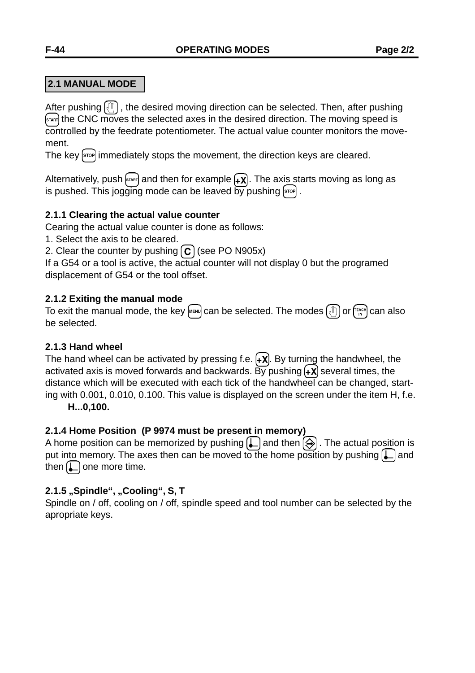## **2.1 MANUAL MODE**

After pushing  $[\sqrt{\mathbb{N}}]$ , the desired moving direction can be selected. Then, after pushing **START)** the CNC moves the selected axes in the desired direction. The moving speed is controlled by the feedrate potentiometer. The actual value counter monitors the movement.

The key [stop] immediately stops the movement, the direction keys are cleared.

Alternatively, push  $\left[\sin\theta\right]$  and then for example  $\left(\frac{1}{2}\right)$ . The axis starts moving as long as is pushed. This jogging mode can be leaved by pushing  $\left[\sin \theta\right]$ .

## **2.1.1 Clearing the actual value counter**

Cearing the actual value counter is done as follows:

1. Select the axis to be cleared.

2. Clear the counter by pushing  $\left[\mathbf{C}\right]$  (see PO N905x)

If a G54 or a tool is active, the actual counter will not display 0 but the programed displacement of G54 or the tool offset.

## **2.1.2 Exiting the manual mode**

To exit the manual mode, the key  $\left[\text{MEN}\right]$  can be selected. The modes  $\left[\text{MIN}\right]$  or  $\left[\text{MIN}\right]$  can also be selected.

### **2.1.3 Hand wheel**

The hand wheel can be activated by pressing f.e.  $\{+X\}$ . By turning the handwheel, the activated axis is moved forwards and backwards. By pushing  $\left(\frac{1}{x}\right)$  several times, the distance which will be executed with each tick of the handwheel can be changed, starting with 0.001, 0.010, 0.100. This value is displayed on the screen under the item H, f.e.

**H...0,100.**

## **2.1.4 Home Position (P 9974 must be present in memory)**

A home position can be memorized by pushing  $\Box$  and then  $\bigcirc$ . The actual position is put into memory. The axes then can be moved to the home position by pushing  $[$ .] and then  $[\Box]$  one more time.

## **2.1.5 "Spindle", "Cooling", S, T**

Spindle on / off, cooling on / off, spindle speed and tool number can be selected by the apropriate keys.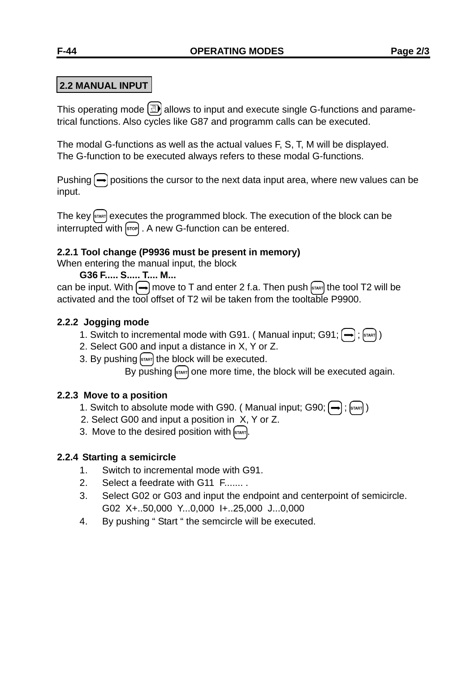## **2.2 MANUAL INPUT**

This operating mode  $\left(\overline{\mathbb{D}}\right)$  allows to input and execute single G-functions and parametrical functions. Also cycles like G87 and programm calls can be executed.

The modal G-functions as well as the actual values F, S, T, M will be displayed. The G-function to be executed always refers to these modal G-functions.

Pushing  $\rightarrow$  positions the cursor to the next data input area, where new values can be input.

The key  $\left[\sin \theta\right]$  executes the programmed block. The execution of the block can be interrupted with  $\overline{\text{sep}}$ . A new G-function can be entered.

### **2.2.1 Tool change (P9936 must be present in memory)**

When entering the manual input, the block

**G36 F..... S..... T.... M...**

can be input. With  $\bigoplus$  move to T and enter 2 f.a. Then push  $\left[\frac{1}{2} \right]$  the tool T2 will be activated and the tool offset of T2 wil be taken from the tooltable P9900.

## **2.2.2 Jogging mode**

- 1. Switch to incremental mode with G91. (Manual input; G91;  $\left(\rightarrow\right)$ ;  $\left[\left(\rightarrow\right)\right]$
- 2. Select G00 and input a distance in X, Y or Z.
- 3. By pushing  $\frac{1}{10}$  the block will be executed.

By pushing  $\frac{1}{2}$  one more time, the block will be executed again.

### **2.2.3 Move to a position**

- 1. Switch to absolute mode with G90. (Manual input; G90;  $\left(\rightarrow\right)$ ;  $\left[\left(\rightarrow\right)\right]$
- 2. Select G00 and input a position in X, Y or Z.
- 3. Move to the desired position with  $\left[\sin \theta\right]$ .

## **2.2.4 Starting a semicircle**

- 1. Switch to incremental mode with G91.
- 2. Select a feedrate with G11 F....... .
- 3. Select G02 or G03 and input the endpoint and centerpoint of semicircle. G02 X+..50,000 Y...0,000 I+..25,000 J...0,000
- 4. By pushing " Start " the semcircle will be executed.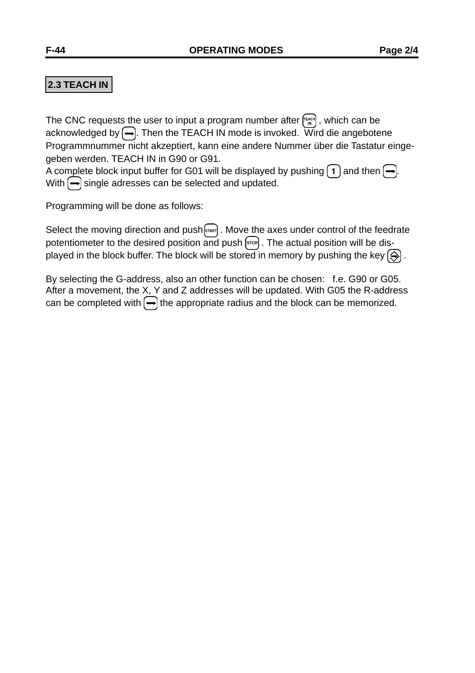## **2.3 TEACH IN**

The CNC requests the user to input a program number after  $f_{\text{max}}^{\text{final}}$ , which can be acknowledged by  $\bigoplus$ . Then the TEACH IN mode is invoked. Wird die angebotene Programmnummer nicht akzeptiert, kann eine andere Nummer über die Tastatur eingegeben werden. TEACH IN in G90 or G91.

A complete block input buffer for G01 will be displayed by pushing  $\boxed{1}$  and then  $\boxed{\rightarrow}$ . With  $\leftarrow$  single adresses can be selected and updated.

Programming will be done as follows:

Select the moving direction and push  $\left[\sin \frac{1}{2} \right]$ . Move the axes under control of the feedrate potentiometer to the desired position  $\overline{and}$  push  $\left[\overline{or}\right]$ . The actual position will be displayed in the block buffer. The block will be stored in memory by pushing the key  $\textcircled{\}}$ .

By selecting the G-address, also an other function can be chosen: f.e. G90 or G05. After a movement, the X, Y and Z addresses will be updated. With G05 the R-address can be completed with  $\leftarrow$  the appropriate radius and the block can be memorized.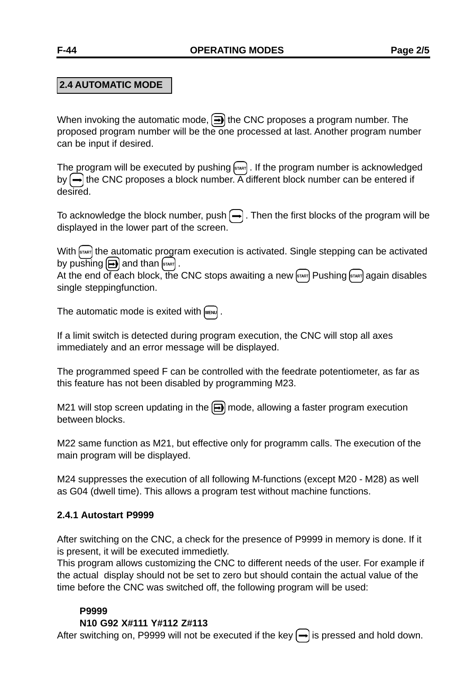## **2.4 AUTOMATIC MODE**

When invoking the automatic mode,  $\boxed{\rightarrow}$  the CNC proposes a program number. The proposed program number will be the one processed at last. Another program number can be input if desired.

The program will be executed by pushing  $\frac{1}{\left|\mathbb{R}^n\right|}$ . If the program number is acknowledged by  $\bigoplus$  the CNC proposes a block number. A different block number can be entered if desired.

To acknowledge the block number, push  $\leftarrow$  . Then the first blocks of the program will be displayed in the lower part of the screen.

With  $\left[\sinh\right]$  the automatic program execution is activated. Single stepping can be activated by pushing  $\left[\bigoplus\right]$  and than  $\left[\left\langle s\right\rangle\right]$ .

At the end of each block, the CNC stops awaiting a new  $\frac{1}{2}$  Pushing  $\frac{1}{2}$  again disables single steppingfunction.

The automatic mode is exited with  $\sqrt{m_{\text{F}} m_{\text{F}}}$ .

If a limit switch is detected during program execution, the CNC will stop all axes immediately and an error message will be displayed.

The programmed speed F can be controlled with the feedrate potentiometer, as far as this feature has not been disabled by programming M23.

M21 will stop screen updating in the  $\bigoplus$  mode, allowing a faster program execution between blocks.

M22 same function as M21, but effective only for programm calls. The execution of the main program will be displayed.

M24 suppresses the execution of all following M-functions (except M20 - M28) as well as G04 (dwell time). This allows a program test without machine functions.

### **2.4.1 Autostart P9999**

After switching on the CNC, a check for the presence of P9999 in memory is done. If it is present, it will be executed immedietly.

This program allows customizing the CNC to different needs of the user. For example if the actual display should not be set to zero but should contain the actual value of the time before the CNC was switched off, the following program will be used:

### **P9999**

### **N10 G92 X#111 Y#112 Z#113**

After switching on, P9999 will not be executed if the key  $\rightarrow$  is pressed and hold down.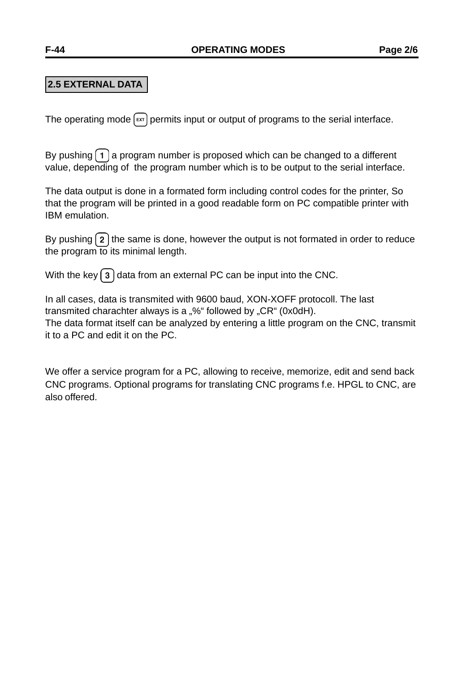## **2.5 EXTERNAL DATA**

The operating mode  $[\epsilon x]$  permits input or output of programs to the serial interface.

By pushing  $\left( 1 \right)$  a program number is proposed which can be changed to a different value, depending of the program number which is to be output to the serial interface.

The data output is done in a formated form including control codes for the printer, So that the program will be printed in a good readable form on PC compatible printer with IBM emulation.

By pushing  $\left( \frac{2}{2} \right)$  the same is done, however the output is not formated in order to reduce the program to its minimal length.

With the key  $\boxed{3}$  data from an external PC can be input into the CNC.

In all cases, data is transmited with 9600 baud, XON-XOFF protocoll. The last transmited charachter always is a "%" followed by " $CR$ " (0x0dH). The data format itself can be analyzed by entering a little program on the CNC, transmit it to a PC and edit it on the PC.

We offer a service program for a PC, allowing to receive, memorize, edit and send back CNC programs. Optional programs for translating CNC programs f.e. HPGL to CNC, are also offered.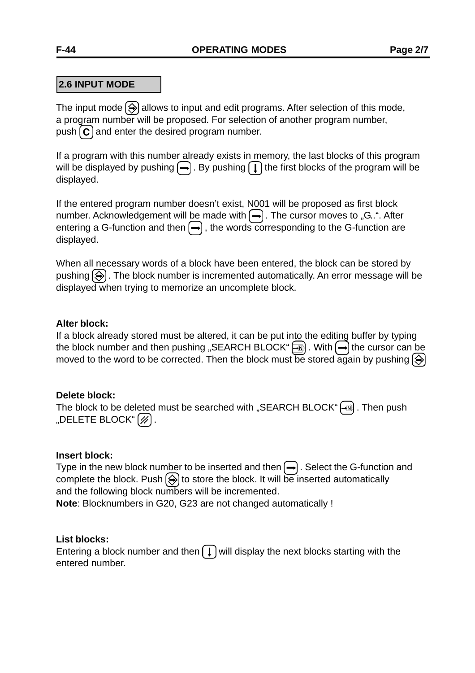## **2.6 INPUT MODE**

The input mode  $\bigcirc$  allows to input and edit programs. After selection of this mode, a program number will be proposed. For selection of another program number, push  $\mathbf c$  and enter the desired program number.

If a program with this number already exists in memory, the last blocks of this program will be displayed by pushing  $\left(\rightarrow\right)$ . By pushing  $\left(\rightarrow\right)$  the first blocks of the program will be displayed.

If the entered program number doesn't exist, N001 will be proposed as first block number. Acknowledgement will be made with  $\leftarrow$ . The cursor moves to "G..". After entering a G-function and then  $\leftarrow$ , the words corresponding to the G-function are displayed.

When all necessary words of a block have been entered, the block can be stored by pushing  $\circled{)}$ . The block number is incremented automatically. An error message will be displayed when trying to memorize an uncomplete block.

#### **Alter block:**

If a block already stored must be altered, it can be put into the editing buffer by typing the block number and then pushing "SEARCH BLOCK" $\boxed{\rightarrow}$ . With  $\boxed{\rightarrow}$  the cursor can be moved to the word to be corrected. Then the block must be stored again by pushing  $\circled{)}$ 

#### **Delete block:**

The block to be deleted must be searched with "SEARCH BLOCK" $\boxed{-\mathbb{N}}$ . Then push "DELETE BLOCK" $\left[\overline{\mathscr{D}}\right]$ .

#### **Insert block:**

Type in the new block number to be inserted and then  $\leftarrow$ . Select the G-function and complete the block. Push  $\circledast$  to store the block. It will be inserted automatically and the following block numbers will be incremented. **Note**: Blocknumbers in G20, G23 are not changed automatically !

#### **List blocks:**

Entering a block number and then  $\begin{pmatrix} 1 \end{pmatrix}$  will display the next blocks starting with the entered number.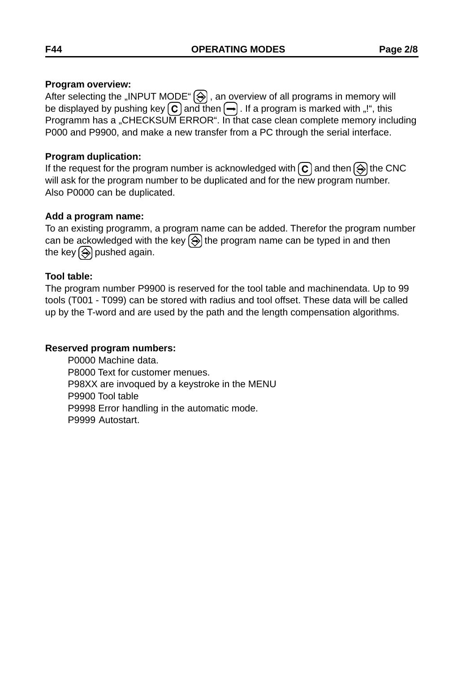#### **Program overview:**

After selecting the "INPUT MODE"  $\textcircled{\textcircled{\#}}$  , an overview of all programs in memory will be displayed by pushing key  $\boxed{\mathbf{C}}$  and then  $\boxed{\rightarrow}$ . If a program is marked with "!", this Programm has a "CHECKSUM ERROR". In that case clean complete memory including P000 and P9900, and make a new transfer from a PC through the serial interface.

#### **Program duplication:**

If the request for the program number is acknowledged with  $\mathbf{c}$  and then  $\textcircled{3}$  the CNC will ask for the program number to be duplicated and for the new program number. Also P0000 can be duplicated.

#### **Add a program name:**

To an existing programm, a program name can be added. Therefor the program number can be ackowledged with the key  $\left(\frac{1}{2}\right)$  the program name can be typed in and then the key  $\bigcirc$  pushed again.

### **Tool table:**

The program number P9900 is reserved for the tool table and machinendata. Up to 99 tools (T001 - T099) can be stored with radius and tool offset. These data will be called up by the T-word and are used by the path and the length compensation algorithms.

#### **Reserved program numbers:**

P0000 Machine data. P8000 Text for customer menues. P98XX are invoqued by a keystroke in the MENU P9900 Tool table P9998 Error handling in the automatic mode. P9999 Autostart.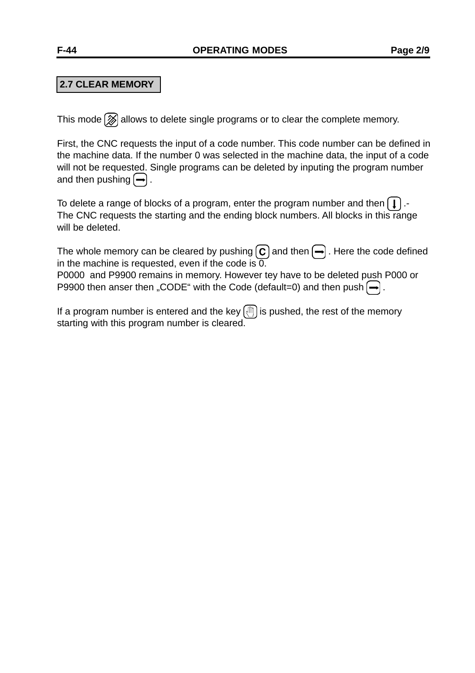## **2.7 CLEAR MEMORY**

This mode  $\mathcal{D}$  allows to delete single programs or to clear the complete memory.

First, the CNC requests the input of a code number. This code number can be defined in the machine data. If the number 0 was selected in the machine data, the input of a code will not be requested. Single programs can be deleted by inputing the program number and then pushing  $\left[\rightarrow\right]$ .

To delete a range of blocks of a program, enter the program number and then  $\Box$ . The CNC requests the starting and the ending block numbers. All blocks in this range will be deleted.

The whole memory can be cleared by pushing  $\left(\overline{c}\right)$  and then  $\left(\overline{-}\right)$ . Here the code defined in the machine is requested, even if the code is  $\overline{0}$ .

P0000 and P9900 remains in memory. However tey have to be deleted push P000 or P9900 then anser then "CODE" with the Code (default=0) and then push  $\left(\rightarrow\right)$ .

If a program number is entered and the key  $[\text{m}]$  is pushed, the rest of the memory starting with this program number is cleared.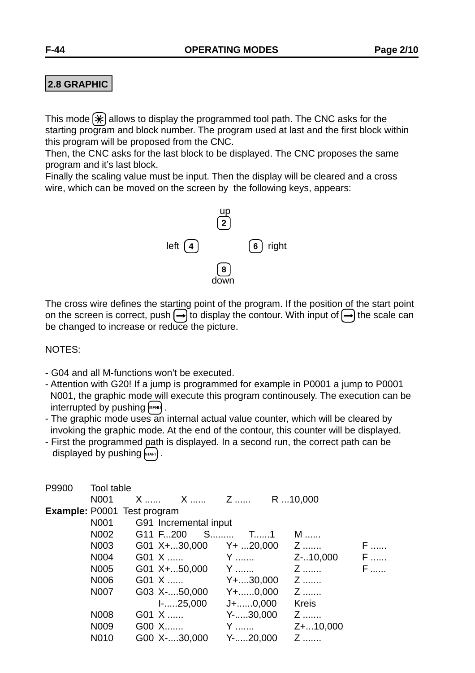### **2.8 GRAPHIC**

This mode  $[\mathcal{K}]$  allows to display the programmed tool path. The CNC asks for the starting program and block number. The program used at last and the first block within this program will be proposed from the CNC.

Then, the CNC asks for the last block to be displayed. The CNC proposes the same program and it's last block.

Finally the scaling value must be input. Then the display will be cleared and a cross wire, which can be moved on the screen by the following keys, appears:



The cross wire defines the starting point of the program. If the position of the start point on the screen is correct, push  $\left(\rightarrow\right)$  to display the contour. With input of  $\left(\rightarrow\right)$  the scale can be changed to increase or reduce the picture.

#### NOTES:

- G04 and all M-functions won't be executed.
- Attention with G20! If a jump is programmed for example in P0001 a jump to P0001 N001, the graphic mode will execute this program continousely. The execution can be interrupted by pushing [MENU].
- The graphic mode uses an internal actual value counter, which will be cleared by invoking the graphic mode. At the end of the contour, this counter will be displayed.
- First the programmed path is displayed. In a second run, the correct path can be displayed by pushing  $s_{\text{start}}$ .

| P9900 | <b>Tool table</b> |                                    |                       |                    |               |     |
|-------|-------------------|------------------------------------|-----------------------|--------------------|---------------|-----|
|       | N <sub>001</sub>  |                                    |                       |                    | R 10,000      |     |
|       |                   | <b>Example: P0001 Test program</b> |                       |                    |               |     |
|       | N001              |                                    | G91 Incremental input |                    |               |     |
|       | N002              | G11 F200                           |                       |                    | M             |     |
|       | N003              |                                    | G01 X+30,000          | $Y + 20,000$ Z     |               | F   |
|       | N004              | G01 X                              |                       | Y                  | Z-10,000      | $F$ |
|       | N005              |                                    | G01 $X + 50,000$ Y    |                    | Z             | $F$ |
|       | N006              | G01 X                              |                       | $Y + \dots 30,000$ | Z             |     |
|       | N007              |                                    | G03 X-50,000          | $Y + \dots 0,000$  | Z             |     |
|       |                   |                                    | I-25,000              | $J + \ldots 0,000$ | <b>Kreis</b>  |     |
|       | N008              | G01 X                              |                       | $Y$ -30,000 $Z$    |               |     |
|       | N009              | G00 X                              |                       | Y                  | $Z +  10,000$ |     |
|       | N010              |                                    | G00 X-30,000          | $Y$ -20,000        | Z             |     |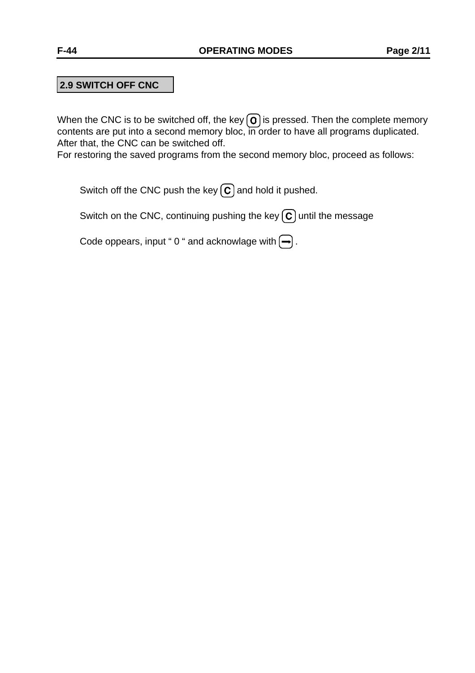## **2.9 SWITCH OFF CNC**

When the CNC is to be switched off, the key  $\Omega$  is pressed. Then the complete memory contents are put into a second memory bloc, in order to have all programs duplicated. After that, the CNC can be switched off.

For restoring the saved programs from the second memory bloc, proceed as follows:

Switch off the CNC push the key  $\left(\overline{c}\right)$  and hold it pushed.

Switch on the CNC, continuing pushing the key  $\left(\overline{c}\right)$  until the message

Code oppears, input "0" and acknowlage with  $\leftarrow$ ).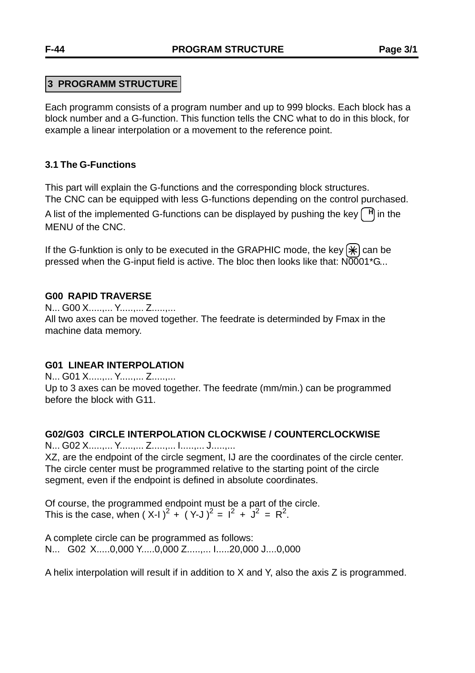## **3 PROGRAMM STRUCTURE**

Each programm consists of a program number and up to 999 blocks. Each block has a block number and a G-function. This function tells the CNC what to do in this block, for example a linear interpolation or a movement to the reference point.

### **3.1 The G-Functions**

This part will explain the G-functions and the corresponding block structures. The CNC can be equipped with less G-functions depending on the control purchased.

A list of the implemented G-functions can be displayed by pushing the key  $\lceil \frac{H}{n} \rceil$  in the MENU of the CNC.

If the G-funktion is only to be executed in the GRAPHIC mode, the key  $[\ast]$  can be pressed when the G-input field is active. The bloc then looks like that: N0001\*G...

### **G00 RAPID TRAVERSE**

N... G00 X.....,... Y.....,... Z.....,... All two axes can be moved together. The feedrate is determinded by Fmax in the machine data memory.

### **G01 LINEAR INTERPOLATION**

N... G01 X.....,... Y.....,... Z.....,... Up to 3 axes can be moved together. The feedrate (mm/min.) can be programmed before the block with G11.

### **G02/G03 CIRCLE INTERPOLATION CLOCKWISE / COUNTERCLOCKWISE**

N... G02 X.....,... Y.....,... Z.....,... I.....,... J.....,...

XZ, are the endpoint of the circle segment, IJ are the coordinates of the circle center. The circle center must be programmed relative to the starting point of the circle segment, even if the endpoint is defined in absolute coordinates.

Of course, the programmed endpoint must be a part of the circle. This is the case, when  $(X-1)^2 + (Y-1)^2 = 1^2 + J^2 = R^2$ .

A complete circle can be programmed as follows: N... G02 X.....0,000 Y.....0,000 Z.....,... I.....20,000 J....0,000

A helix interpolation will result if in addition to X and Y, also the axis Z is programmed.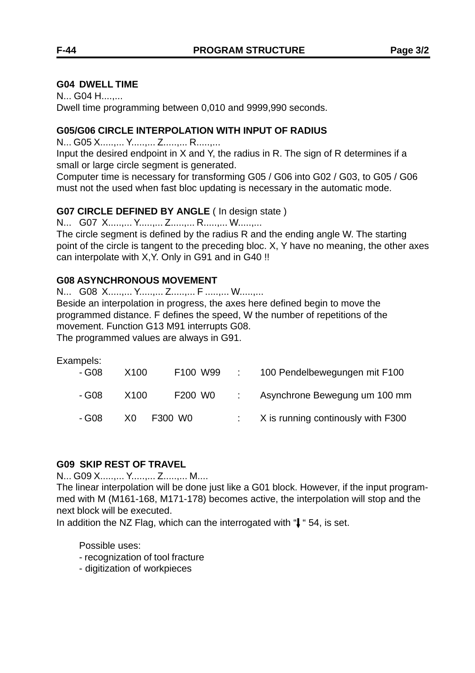#### **G04 DWELL TIME**

N... G04 H....,... Dwell time programming between 0,010 and 9999,990 seconds.

#### **G05/G06 CIRCLE INTERPOLATION WITH INPUT OF RADIUS**

N... G05 X.....,... Y.....,... Z.....,... R.....,...

Input the desired endpoint in X and Y, the radius in R. The sign of R determines if a small or large circle segment is generated.

Computer time is necessary for transforming G05 / G06 into G02 / G03, to G05 / G06 must not the used when fast bloc updating is necessary in the automatic mode.

#### **G07 CIRCLE DEFINED BY ANGLE** ( In design state )

N... G07 X.....,... Y.....,... Z.....,... R.....,... W.....,...

The circle segment is defined by the radius R and the ending angle W. The starting point of the circle is tangent to the preceding bloc. X, Y have no meaning, the other axes can interpolate with X,Y. Only in G91 and in G40 !!

#### **G08 ASYNCHRONOUS MOVEMENT**

N... G08 X.....,... Y.....,... Z.....,... F .....,... W.....,...

Beside an interpolation in progress, the axes here defined begin to move the programmed distance. F defines the speed, W the number of repetitions of the movement. Function G13 M91 interrupts G08.

The programmed values are always in G91.

| Exampels:<br>- G08 | X <sub>100</sub> | F100 W99 | 100 Pendelbewegungen mit F100                   |
|--------------------|------------------|----------|-------------------------------------------------|
|                    |                  |          |                                                 |
| - G08              | X100             | F200 W0  | Asynchrone Bewegung um 100 mm                   |
| - G08              | X0.              | F300 W0  | $\therefore$ X is running continously with F300 |

#### **G09 SKIP REST OF TRAVEL**

N... G09 X.....,... Y.....,... Z.....,... M....

The linear interpolation will be done just like a G01 block. However, if the input programmed with M (M161-168, M171-178) becomes active, the interpolation will stop and the next block will be executed.

In addition the NZ Flag, which can the interrogated with " $\downarrow$  " 54, is set.

Possible uses:

- recognization of tool fracture
- digitization of workpieces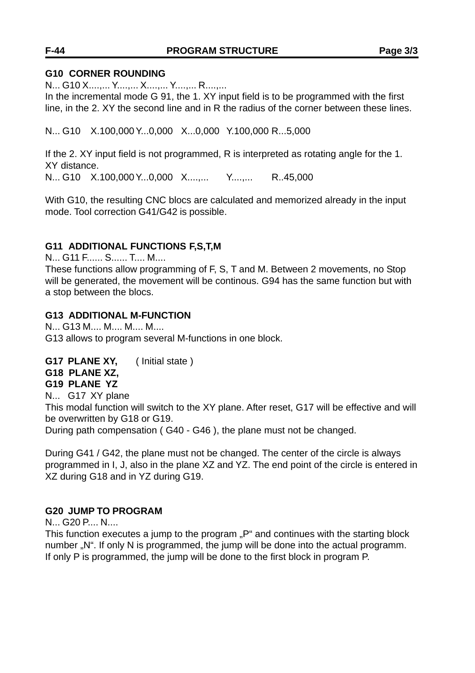## **F-44 PROGRAM STRUCTURE Page 3/3**

#### **G10 CORNER ROUNDING**

N... G10 X....,... Y....,... X....,... Y....,... R....,...

In the incremental mode G 91, the 1. XY input field is to be programmed with the first line, in the 2. XY the second line and in R the radius of the corner between these lines.

N... G10 X.100,000 Y...0,000 X...0,000 Y.100,000 R...5,000

If the 2. XY input field is not programmed, R is interpreted as rotating angle for the 1. XY distance.

N... G10 X.100,000 Y...0,000 X....,... Y....,... R..45,000

With G10, the resulting CNC blocs are calculated and memorized already in the input mode. Tool correction G41/G42 is possible.

### **G11 ADDITIONAL FUNCTIONS F,S,T,M**

N... G11 F...... S...... T.... M....

These functions allow programming of F, S, T and M. Between 2 movements, no Stop will be generated, the movement will be continous. G94 has the same function but with a stop between the blocs.

### **G13 ADDITIONAL M-FUNCTION**

N... G13 M.... M.... M.... M.... G13 allows to program several M-functions in one block.

### **G17 PLANE XY,** ( Initial state )

#### **G18 PLANE XZ,**

**G19 PLANE YZ**

N... G17 XY plane

This modal function will switch to the XY plane. After reset, G17 will be effective and will be overwritten by G18 or G19.

During path compensation ( G40 - G46 ), the plane must not be changed.

During G41 / G42, the plane must not be changed. The center of the circle is always programmed in I, J, also in the plane XZ and YZ. The end point of the circle is entered in XZ during G18 and in YZ during G19.

### **G20 JUMP TO PROGRAM**

N... G20 P.... N....

This function executes a jump to the program "P" and continues with the starting block number "N". If only N is programmed, the jump will be done into the actual programm. If only P is programmed, the jump will be done to the first block in program P.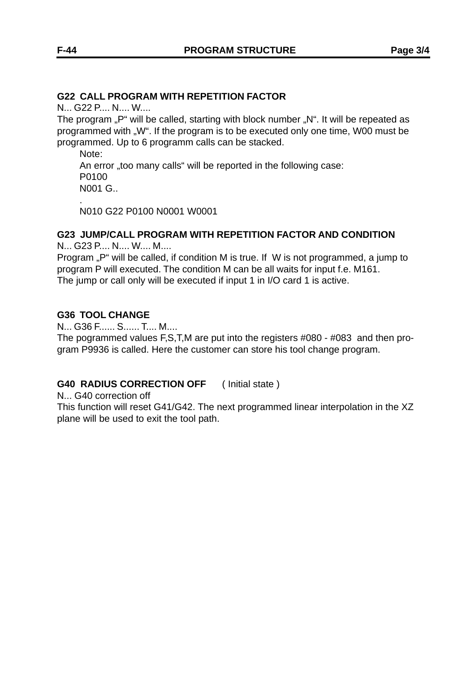#### **G22 CALL PROGRAM WITH REPETITION FACTOR**

N... G22 P.... N.... W....

The program "P" will be called, starting with block number "N". It will be repeated as programmed with "W". If the program is to be executed only one time, W00 must be programmed. Up to 6 programm calls can be stacked.

Note:

An error "too many calls" will be reported in the following case: P0100 N001 G.. .

N010 G22 P0100 N0001 W0001

#### **G23 JUMP/CALL PROGRAM WITH REPETITION FACTOR AND CONDITION**

N... G23 P.... N.... W.... M....

Program ..P" will be called, if condition M is true. If W is not programmed, a jump to program P will executed. The condition M can be all waits for input f.e. M161. The jump or call only will be executed if input 1 in I/O card 1 is active.

#### **G36 TOOL CHANGE**

N... G36 F...... S...... T.... M....

The pogrammed values F,S,T,M are put into the registers #080 - #083 and then program P9936 is called. Here the customer can store his tool change program.

### **G40 RADIUS CORRECTION OFF** ( Initial state )

N... G40 correction off

This function will reset G41/G42. The next programmed linear interpolation in the XZ plane will be used to exit the tool path.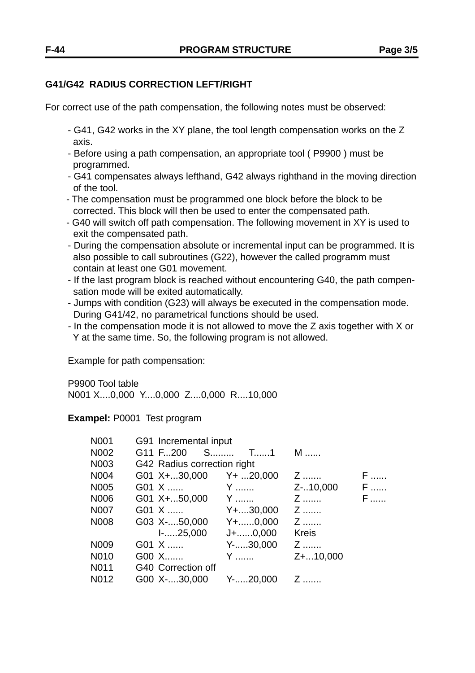## **G41/G42 RADIUS CORRECTION LEFT/RIGHT**

For correct use of the path compensation, the following notes must be observed:

- G41, G42 works in the XY plane, the tool length compensation works on the Z axis.
- Before using a path compensation, an appropriate tool ( P9900 ) must be programmed.
- G41 compensates always lefthand, G42 always righthand in the moving direction of the tool.
- The compensation must be programmed one block before the block to be corrected. This block will then be used to enter the compensated path.
- G40 will switch off path compensation. The following movement in XY is used to exit the compensated path.
- During the compensation absolute or incremental input can be programmed. It is also possible to call subroutines (G22), however the called programm must contain at least one G01 movement.
- If the last program block is reached without encountering G40, the path compen sation mode will be exited automatically.
- Jumps with condition (G23) will always be executed in the compensation mode. During G41/42, no parametrical functions should be used.
- *-* In the compensation mode it is not allowed to move the Z axis together with X or Y at the same time. So, the following program is not allowed.

Example for path compensation:

P9900 Tool table N001 X....0,000 Y....0,000 Z....0,000 R....10,000

**Exampel:** P0001 Test program

| N001 | G91 Incremental input         |                                                                                                                        |              |   |
|------|-------------------------------|------------------------------------------------------------------------------------------------------------------------|--------------|---|
| N002 | G11 F200 S T1                 |                                                                                                                        | M            |   |
| N003 | G42 Radius correction right   |                                                                                                                        |              |   |
| N004 | G01 $X + 30,000$ $Y + 20,000$ |                                                                                                                        | Z            | F |
| N005 | G01 X                         | и супера и <u>у се под</u> еление при води и супера и в 1910 године при води и 1911 године в 1911 године при водине пр | Z-10,000     | F |
| N006 | G01 $X + 50,000$ Y            |                                                                                                                        | Z            | F |
| N007 | G01 X                         | $Y + \dots 30,000$                                                                                                     | Z            |   |
| N008 | G03 X-50,000                  | Y+……0,000                                                                                                              | Z            |   |
|      | $1 - \ldots 25,000$           | J+0,000                                                                                                                | <b>Kreis</b> |   |
| N009 | G01 X                         | Y-30,000                                                                                                               | Z            |   |
| N010 | G00 X                         | Y                                                                                                                      | Z+10,000     |   |
| N011 | G40 Correction off            |                                                                                                                        |              |   |
| N012 | G00 X-30,000 Y-20,000         |                                                                                                                        | Z            |   |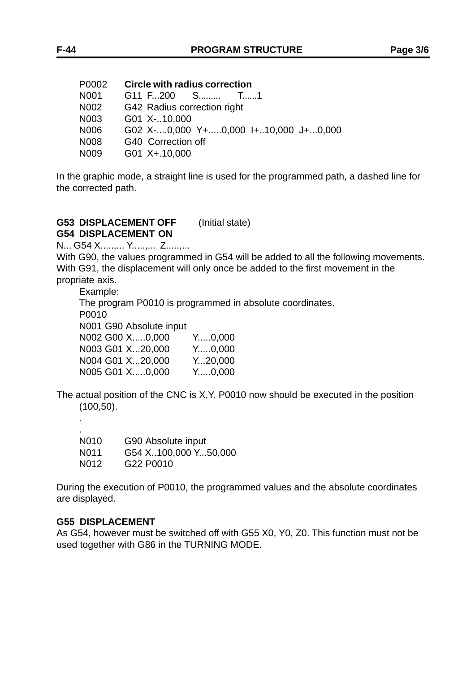| P0002            | <b>Circle with radius correction</b> |
|------------------|--------------------------------------|
| N <sub>001</sub> | G11 F200 S T1                        |
| N002             | G42 Radius correction right          |
| N003             | G01 X-10,000                         |
| N006             | G02 X-0,000 Y+0,000 I+10,000 J+0,000 |
| N008             | G40 Correction off                   |
| N009             | G01 X+.10,000                        |

In the graphic mode, a straight line is used for the programmed path, a dashed line for the corrected path.

#### **G53 DISPLACEMENT OFF** (Initial state) **G54 DISPLACEMENT ON**

N... G54 X.....,... Y.....,... Z.....,...

With G90, the values programmed in G54 will be added to all the following movements. With G91, the displacement will only once be added to the first movement in the propriate axis.

Example:

The program P0010 is programmed in absolute coordinates.

P0010

.

N001 G90 Absolute input

| $Y_{\dots 0.000}$ |
|-------------------|
| $Y_{\dots 0.000}$ |
| $Y_{}20,000$      |
| Y0.000            |
|                   |

The actual position of the CNC is X,Y. P0010 now should be executed in the position (100,50).

| N <sub>0</sub> 10 | G90 Absolute input                |
|-------------------|-----------------------------------|
| N <sub>0</sub> 11 | G54 X100,000 Y50,000              |
| N <sub>0</sub> 12 | G <sub>22</sub> P <sub>0010</sub> |

During the execution of P0010, the programmed values and the absolute coordinates are displayed.

#### **G55 DISPLACEMENT**

As G54, however must be switched off with G55 X0, Y0, Z0. This function must not be used together with G86 in the TURNING MODE.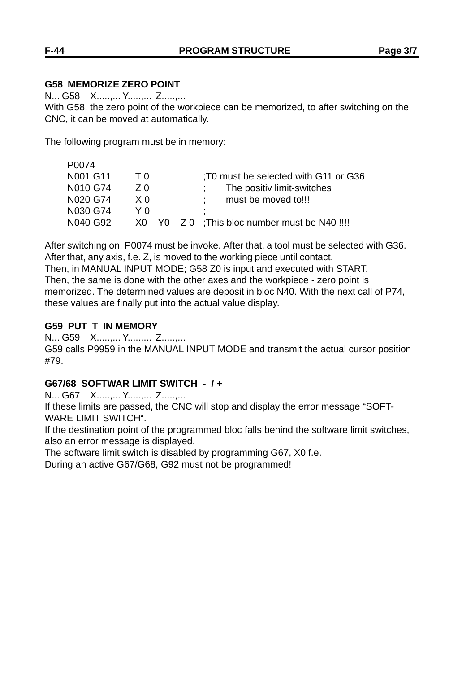## **G58 MEMORIZE ZERO POINT**

N... G58 X.....,... Y.....,... Z.....,...

With G58, the zero point of the workpiece can be memorized, to after switching on the CNC, it can be moved at automatically.

The following program must be in memory:

| P0074    |     |                                               |
|----------|-----|-----------------------------------------------|
| N001 G11 | ΤO  | T0 must be selected with G11 or G36           |
| N010 G74 | 7 Q | The positiv limit-switches                    |
| N020 G74 | X 0 | must be moved to!!!                           |
| N030 G74 | YΛ  | ٠                                             |
| N040 G92 |     | X0 Y0 Z 0 ; This bloc number must be N40 !!!! |

After switching on, P0074 must be invoke. After that, a tool must be selected with G36. After that, any axis, f.e. Z, is moved to the working piece until contact.

Then, in MANUAL INPUT MODE; G58 Z0 is input and executed with START. Then, the same is done with the other axes and the workpiece - zero point is memorized. The determined values are deposit in bloc N40. With the next call of P74, these values are finally put into the actual value display.

#### **G59 PUT T IN MEMORY**

N... G59 X.....,... Y.....,... Z.....,...

G59 calls P9959 in the MANUAL INPUT MODE and transmit the actual cursor position #79.

### **G67/68 SOFTWAR LIMIT SWITCH - / +**

N... G67 X.....,... Y.....,... Z.....,...

If these limits are passed, the CNC will stop and display the error message "SOFT-WARE LIMIT SWITCH".

If the destination point of the programmed bloc falls behind the software limit switches, also an error message is displayed.

The software limit switch is disabled by programming G67, X0 f.e.

During an active G67/G68, G92 must not be programmed!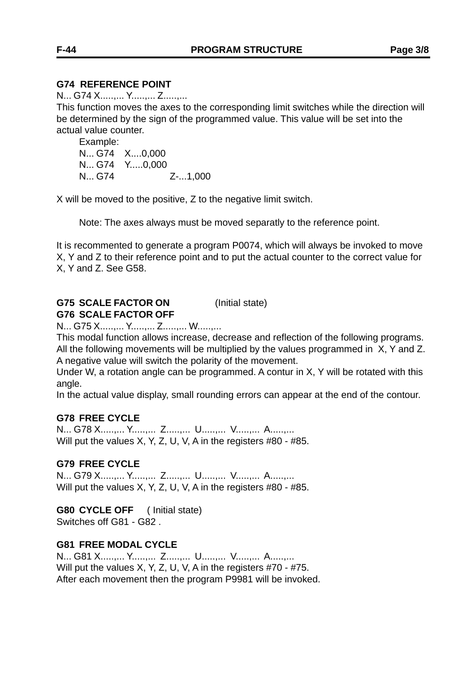#### **G74 REFERENCE POINT**

N... G74 X.....,... Y.....,... Z.....,...

This function moves the axes to the corresponding limit switches while the direction will be determined by the sign of the programmed value. This value will be set into the actual value counter.

Example: N... G74 X....0,000 N... G74 Y.....0,000 N... G74 Z-...1,000

X will be moved to the positive, Z to the negative limit switch.

Note: The axes always must be moved separatly to the reference point.

It is recommented to generate a program P0074, which will always be invoked to move X, Y and Z to their reference point and to put the actual counter to the correct value for X, Y and Z. See G58.

## **G75 SCALE FACTOR ON** (Initial state) **G76 SCALE FACTOR OFF**

N... G75 X.....,... Y.....,... Z.....,... W.....,...

This modal function allows increase, decrease and reflection of the following programs. All the following movements will be multiplied by the values programmed in X, Y and Z. A negative value will switch the polarity of the movement.

Under W, a rotation angle can be programmed. A contur in X, Y will be rotated with this angle.

In the actual value display, small rounding errors can appear at the end of the contour.

#### **G78 FREE CYCLE**

N... G78 X.....,... Y.....,... Z.....,... U.....,... V.....,... A.....,... Will put the values X, Y, Z, U, V, A in the registers #80 - #85.

#### **G79 FREE CYCLE**

N... G79 X.....,... Y.....,... Z.....,... U.....,... V.....,... A.....,... Will put the values X, Y, Z, U, V, A in the registers #80 - #85.

**G80 CYCLE OFF** ( Initial state) Switches off G81 - G82 .

# **G81 FREE MODAL CYCLE**

N... G81 X.....,... Y.....,... Z.....,... U.....,... V.....,... A.....,... Will put the values X, Y, Z, U, V, A in the registers #70 - #75. After each movement then the program P9981 will be invoked.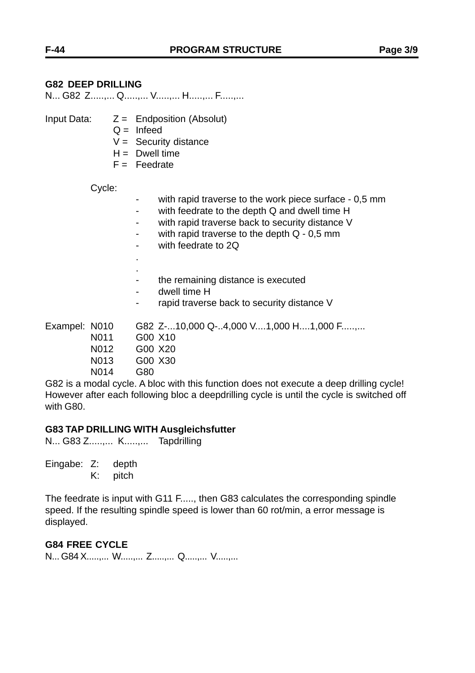## **G82 DEEP DRILLING**

N... G82 Z.....,... Q.....,... V.....,... H.....,... F.....,...

- Input Data:  $Z =$  Endposition (Absolut)
	- $Q =$  Infeed
	- $V =$  Security distance
	- $H =$  Dwell time
	- $F = Feedrate$

Cycle:

- with rapid traverse to the work piece surface 0,5 mm
- with feedrate to the depth Q and dwell time H
- with rapid traverse back to security distance V
- with rapid traverse to the depth  $Q 0.5$  mm
- with feedrate to 2Q

. .

- the remaining distance is executed
- dwell time H
- rapid traverse back to security distance V

Exampel: N010 G82 Z-...10,000 Q-..4,000 V....1,000 H....1,000 F......... N011 G00 X10

- N012 G00 X20
- N013 G00 X30
- N014 G80

G82 is a modal cycle. A bloc with this function does not execute a deep drilling cycle! However after each following bloc a deepdrilling cycle is until the cycle is switched off with G80.

#### **G83 TAP DRILLING WITH Ausgleichsfutter**

N... G83 Z.....,... K.....,... Tapdrilling

Eingabe: Z: depth

K: pitch

The feedrate is input with G11 F....., then G83 calculates the corresponding spindle speed. If the resulting spindle speed is lower than 60 rot/min, a error message is displayed.

#### **G84 FREE CYCLE**

N... G84 X.....,... W.....,... Z.....,... Q.....,... V.....,...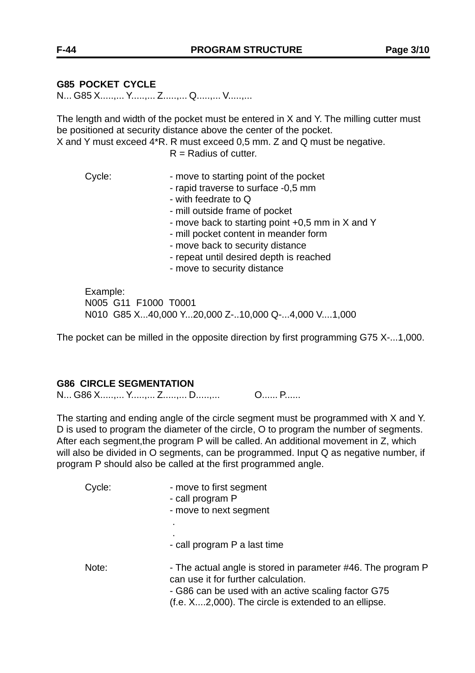## **G85 POCKET CYCLE**

N... G85 X.....,... Y.....,... Z.....,... Q.....,... V.....,...

The length and width of the pocket must be entered in X and Y. The milling cutter must be positioned at security distance above the center of the pocket.

X and Y must exceed 4\*R. R must exceed 0,5 mm. Z and Q must be negative.

 $R =$ Radius of cutter.

Cycle: The starting point of the pocket - rapid traverse to surface -0,5 mm - with feedrate to Q - mill outside frame of pocket - move back to starting point +0,5 mm in X and Y

- mill pocket content in meander form
- move back to security distance
- repeat until desired depth is reached
- move to security distance

Example: N005 G11 F1000 T0001 N010 G85 X...40,000 Y...20,000 Z-..10,000 Q-...4,000 V....1,000

The pocket can be milled in the opposite direction by first programming G75 X-...1,000.

#### **G86 CIRCLE SEGMENTATION**

N... G86 X.....,... Y.....,... Z.....,... D.....,... O...... P......

The starting and ending angle of the circle segment must be programmed with X and Y. D is used to program the diameter of the circle, O to program the number of segments. After each segment,the program P will be called. An additional movement in Z, which will also be divided in O segments, can be programmed. Input Q as negative number, if program P should also be called at the first programmed angle.

| Cycle: | - move to first segment<br>- call program P<br>- move to next segment                                                                                                                                              |
|--------|--------------------------------------------------------------------------------------------------------------------------------------------------------------------------------------------------------------------|
|        |                                                                                                                                                                                                                    |
|        | - call program P a last time                                                                                                                                                                                       |
| Note:  | - The actual angle is stored in parameter #46. The program P<br>can use it for further calculation.<br>- G86 can be used with an active scaling factor G75<br>(f.e. X2,000). The circle is extended to an ellipse. |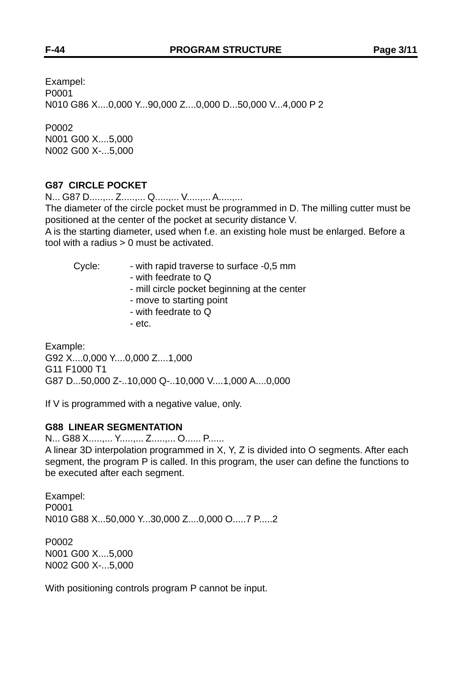Exampel: P0001 N010 G86 X....0,000 Y...90,000 Z....0,000 D...50,000 V...4,000 P 2

P0002 N001 G00 X....5,000 N002 G00 X-...5,000

#### **G87 CIRCLE POCKET**

N... G87 D.....,... Z.....,... Q.....,... V.....,... A.....,...

The diameter of the circle pocket must be programmed in D. The milling cutter must be positioned at the center of the pocket at security distance V.

A is the starting diameter, used when f.e. an existing hole must be enlarged. Before a tool with a radius > 0 must be activated.

| Cycle:   | - with rapid traverse to surface -0,5 mm<br>- with feedrate to Q<br>- mill circle pocket beginning at the center<br>- move to starting point<br>- with feedrate to Q<br>- etc. |  |
|----------|--------------------------------------------------------------------------------------------------------------------------------------------------------------------------------|--|
| Example: |                                                                                                                                                                                |  |

G92 X....0,000 Y....0,000 Z....1,000 G11 F1000 T1 G87 D...50,000 Z-..10,000 Q-..10,000 V....1,000 A....0,000

If V is programmed with a negative value, only.

### **G88 LINEAR SEGMENTATION**

N... G88 X.....,... Y.....,... Z.....,... O...... P...... A linear 3D interpolation programmed in X, Y, Z is divided into O segments. After each segment, the program P is called. In this program, the user can define the functions to be executed after each segment.

Exampel: P0001 N010 G88 X...50,000 Y...30,000 Z....0,000 O.....7 P.....2

P0002 N001 G00 X....5,000 N002 G00 X-...5,000

With positioning controls program P cannot be input.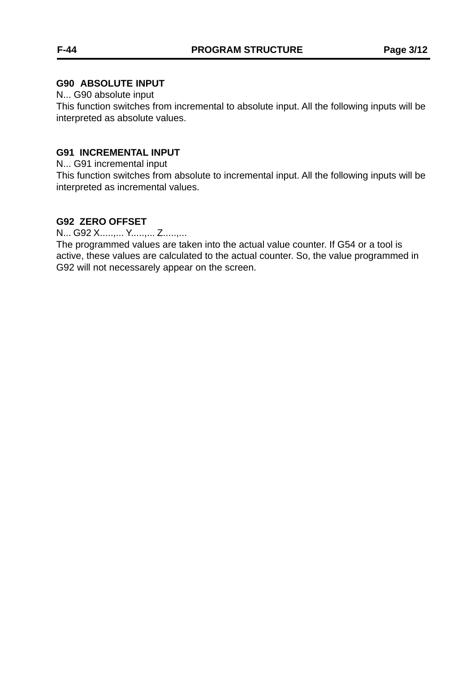#### **G90 ABSOLUTE INPUT**

N... G90 absolute input

This function switches from incremental to absolute input. All the following inputs will be interpreted as absolute values.

#### **G91 INCREMENTAL INPUT**

N... G91 incremental input

This function switches from absolute to incremental input. All the following inputs will be interpreted as incremental values.

#### **G92 ZERO OFFSET**

N... G92 X.....,... Y.....,... Z.....,...

The programmed values are taken into the actual value counter. If G54 or a tool is active, these values are calculated to the actual counter. So, the value programmed in G92 will not necessarely appear on the screen.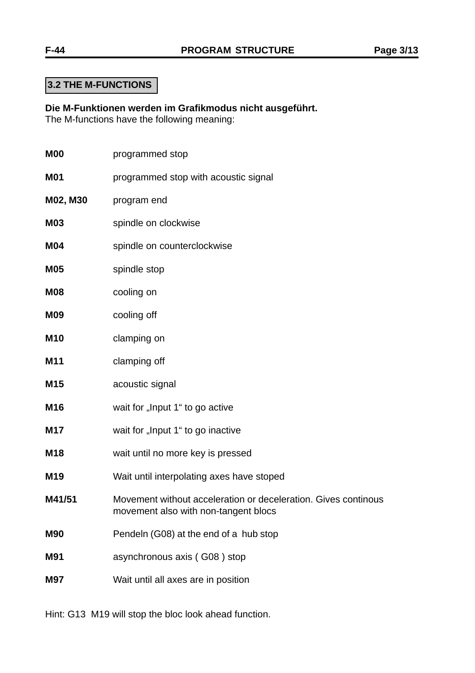**Die M-Funktionen werden im Grafikmodus nicht ausgeführt.** The M-functions have the following meaning:

| <b>M00</b> | programmed stop                                                                                        |
|------------|--------------------------------------------------------------------------------------------------------|
| <b>M01</b> | programmed stop with acoustic signal                                                                   |
| M02, M30   | program end                                                                                            |
| <b>M03</b> | spindle on clockwise                                                                                   |
| <b>M04</b> | spindle on counterclockwise                                                                            |
| <b>M05</b> | spindle stop                                                                                           |
| <b>M08</b> | cooling on                                                                                             |
| <b>M09</b> | cooling off                                                                                            |
| <b>M10</b> | clamping on                                                                                            |
| M11        | clamping off                                                                                           |
| M15        | acoustic signal                                                                                        |
| M16        | wait for "Input 1" to go active                                                                        |
| <b>M17</b> | wait for "Input 1" to go inactive                                                                      |
| M18        | wait until no more key is pressed                                                                      |
| M19        | Wait until interpolating axes have stoped                                                              |
| M41/51     | Movement without acceleration or deceleration. Gives continous<br>movement also with non-tangent blocs |
| <b>M90</b> | Pendeln (G08) at the end of a hub stop                                                                 |
| <b>M91</b> | asynchronous axis (G08) stop                                                                           |
| <b>M97</b> | Wait until all axes are in position                                                                    |

Hint: G13 M19 will stop the bloc look ahead function.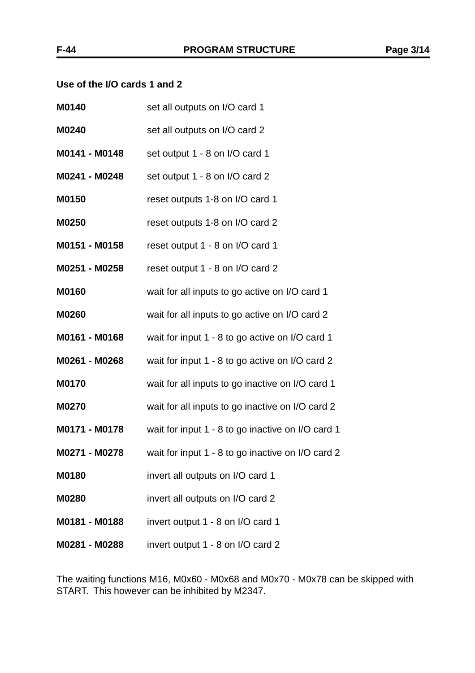#### **Use of the I/O cards 1 and 2**

| M0140         | set all outputs on I/O card 1                     |
|---------------|---------------------------------------------------|
| M0240         | set all outputs on I/O card 2                     |
| M0141 - M0148 | set output 1 - 8 on I/O card 1                    |
| M0241 - M0248 | set output 1 - 8 on I/O card 2                    |
| M0150         | reset outputs 1-8 on I/O card 1                   |
| M0250         | reset outputs 1-8 on I/O card 2                   |
| M0151 - M0158 | reset output 1 - 8 on I/O card 1                  |
| M0251 - M0258 | reset output 1 - 8 on I/O card 2                  |
| M0160         | wait for all inputs to go active on I/O card 1    |
| M0260         | wait for all inputs to go active on I/O card 2    |
| M0161 - M0168 | wait for input 1 - 8 to go active on I/O card 1   |
| M0261 - M0268 | wait for input 1 - 8 to go active on I/O card 2   |
| M0170         | wait for all inputs to go inactive on I/O card 1  |
| M0270         | wait for all inputs to go inactive on I/O card 2  |
| M0171 - M0178 | wait for input 1 - 8 to go inactive on I/O card 1 |
| M0271 - M0278 | wait for input 1 - 8 to go inactive on I/O card 2 |
| <b>M0180</b>  | invert all outputs on I/O card 1                  |
| M0280         | invert all outputs on I/O card 2                  |
| M0181 - M0188 | invert output 1 - 8 on I/O card 1                 |
| M0281 - M0288 | invert output 1 - 8 on I/O card 2                 |

The waiting functions M16, M0x60 - M0x68 and M0x70 - M0x78 can be skipped with START. This however can be inhibited by M2347.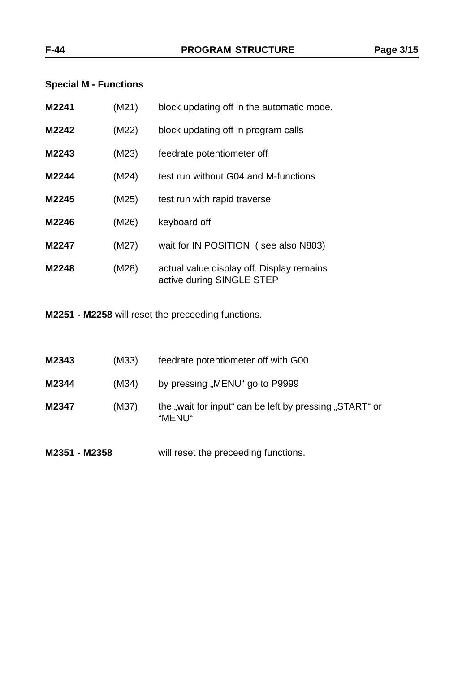## **Special M - Functions**

| M2241 | (M21) | block updating off in the automatic mode.                              |
|-------|-------|------------------------------------------------------------------------|
| M2242 | (M22) | block updating off in program calls                                    |
| M2243 | (M23) | feedrate potentiometer off                                             |
| M2244 | (M24) | test run without G04 and M-functions                                   |
| M2245 | (M25) | test run with rapid traverse                                           |
| M2246 | (M26) | keyboard off                                                           |
| M2247 | (M27) | wait for IN POSITION (see also N803)                                   |
| M2248 | (M28) | actual value display off. Display remains<br>active during SINGLE STEP |

**M2251 - M2258** will reset the preceeding functions.

| M2351 - M2358 |       | will reset the preceeding functions.                              |
|---------------|-------|-------------------------------------------------------------------|
| M2347         | (M37) | the "wait for input" can be left by pressing "START" or<br>"MENU" |
| M2344         | (M34) | by pressing "MENU" go to P9999                                    |
| M2343         | (M33) | feedrate potentiometer off with G00                               |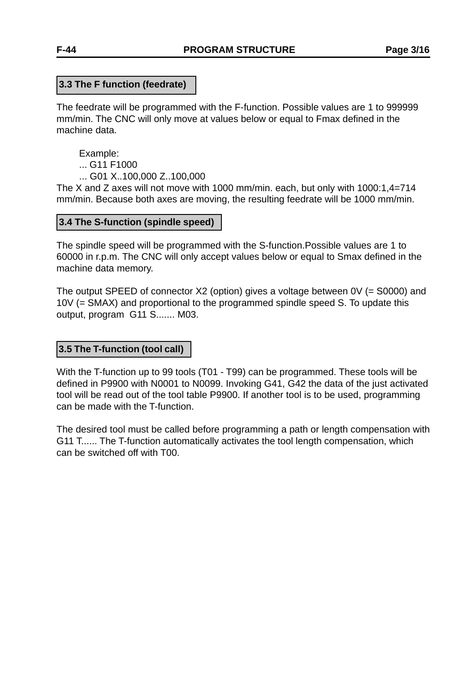#### **3.3 The F function (feedrate)**

The feedrate will be programmed with the F-function. Possible values are 1 to 999999 mm/min. The CNC will only move at values below or equal to Fmax defined in the machine data.

Example: ... G11 F1000

... G01 X..100,000 Z..100,000

The X and Z axes will not move with 1000 mm/min. each, but only with 1000:1,4=714 mm/min. Because both axes are moving, the resulting feedrate will be 1000 mm/min.

#### **3.4 The S-function (spindle speed)**

The spindle speed will be programmed with the S-function.Possible values are 1 to 60000 in r.p.m. The CNC will only accept values below or equal to Smax defined in the machine data memory.

The output SPEED of connector X2 (option) gives a voltage between 0V (= S0000) and 10V (= SMAX) and proportional to the programmed spindle speed S. To update this output, program G11 S....... M03.

### **3.5 The T-function (tool call)**

With the T-function up to 99 tools (T01 - T99) can be programmed. These tools will be defined in P9900 with N0001 to N0099. Invoking G41, G42 the data of the just activated tool will be read out of the tool table P9900. If another tool is to be used, programming can be made with the T-function.

The desired tool must be called before programming a path or length compensation with G11 T...... The T-function automatically activates the tool length compensation, which can be switched off with T00.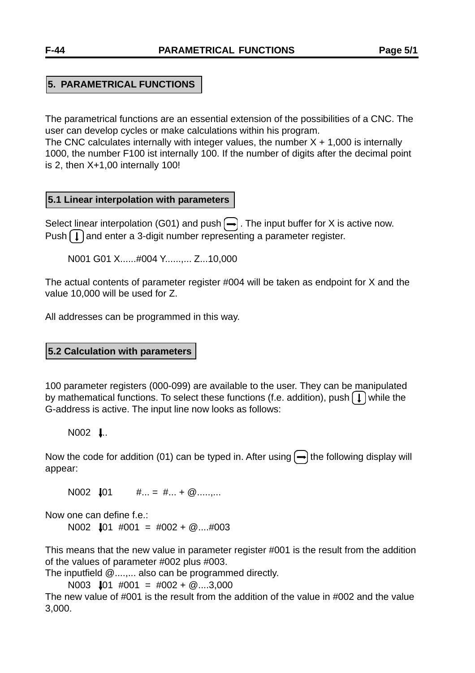## **5. PARAMETRICAL FUNCTIONS**

The parametrical functions are an essential extension of the possibilities of a CNC. The user can develop cycles or make calculations within his program.

The CNC calculates internally with integer values, the number  $X + 1,000$  is internally 1000, the number F100 ist internally 100. If the number of digits after the decimal point is 2, then X+1,00 internally 100!

#### **5.1 Linear interpolation with parameters**

Select linear interpolation (G01) and push  $\leftarrow$ ). The input buffer for X is active now. Push  $\Box$  and enter a 3-digit number representing a parameter register.

N001 G01 X......#004 Y......,... Z...10,000

The actual contents of parameter register #004 will be taken as endpoint for X and the value 10,000 will be used for Z.

All addresses can be programmed in this way.

#### **5.2 Calculation with parameters**

100 parameter registers (000-099) are available to the user. They can be manipulated by mathematical functions. To select these functions (f.e. addition), push  $\left(\int\right)$  while the G-address is active. The input line now looks as follows:

#### $N002$  **.**.

Now the code for addition (01) can be typed in. After using  $\rightarrow$  the following display will appear:

N002  $\downarrow$ 01  $\#... = #... + @......$ 

Now one can define f.e.:

N002  $\text{I}01$  #001 = #002 + @....#003

This means that the new value in parameter register #001 is the result from the addition of the values of parameter #002 plus #003.

The inputfield @....,... also can be programmed directly.

N003  $\downarrow$ 01 #001 = #002 + @....3,000

The new value of #001 is the result from the addition of the value in #002 and the value 3,000.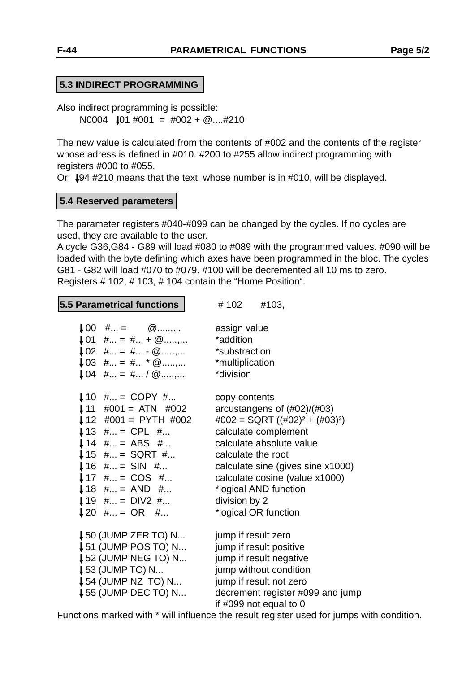Also indirect programming is possible: N0004  $\text{J}01 \text{ #}001 = \text{#}002 + \textcircled{2}... \text{#}210$ 

The new value is calculated from the contents of #002 and the contents of the register whose adress is defined in #010. #200 to #255 allow indirect programming with registers #000 to #055.

Or:  $\downarrow$ 94 #210 means that the text, whose number is in #010, will be displayed.

#### **5.4 Reserved parameters**

The parameter registers #040-#099 can be changed by the cycles. If no cycles are used, they are available to the user.

A cycle G36,G84 - G89 will load #080 to #089 with the programmed values. #090 will be loaded with the byte defining which axes have been programmed in the bloc. The cycles G81 - G82 will load #070 to #079. #100 will be decremented all 10 ms to zero. Registers # 102, # 103, # 104 contain the "Home Position".

**5.5 Parametrical functions** | # 102 #103,

| $\downarrow 00$ # = $\omega$     | assign value                                                                  |
|----------------------------------|-------------------------------------------------------------------------------|
| $\downarrow$ 01 # = # + $\omega$ | *addition                                                                     |
| $102$ # = # - @,                 | *substraction                                                                 |
| $103$ # = # * @,                 | *multiplication                                                               |
| $104$ # = # / $@$ ,              | *division                                                                     |
|                                  |                                                                               |
| $10$ # = COPY #                  | copy contents                                                                 |
| $\downarrow$ 11 #001 = ATN #002  | arcustangens of $(\text{\#}02)/(\text{\#}03)$                                 |
| $12$ #001 = PYTH #002            | $\text{\#002} = \text{SQRT} \left( (\text{\#02})^2 + (\text{\#03})^2 \right)$ |
| $13$ # = CPL #                   | calculate complement                                                          |
| $14$ # = ABS #                   | calculate absolute value                                                      |
| $15$ # = SQRT #                  | calculate the root                                                            |
| $16$ # = SIN #                   | calculate sine (gives sine x1000)                                             |
| $17$ # = COS #                   | calculate cosine (value x1000)                                                |
| $18$ # = AND #                   | *logical AND function                                                         |
| $19$ # = DIV2 #                  | division by 2                                                                 |
| $120$ # = OR #                   | *logical OR function                                                          |
|                                  |                                                                               |
| $\downarrow$ 50 (JUMP ZER TO) N  | jump if result zero                                                           |
| $\downarrow$ 51 (JUMP POS TO) N  | jump if result positive                                                       |
| <b>↓52 (JUMP NEG TO) N</b>       | jump if result negative                                                       |
| $\downarrow$ 53 (JUMP TO) N      | jump without condition                                                        |
| $\downarrow$ 54 (JUMP NZ TO) N   | jump if result not zero                                                       |
| $\downarrow$ 55 (JUMP DEC TO) N  | decrement register #099 and jump                                              |
|                                  | if #099 not equal to $0$                                                      |

Functions marked with \* will influence the result register used for jumps with condition.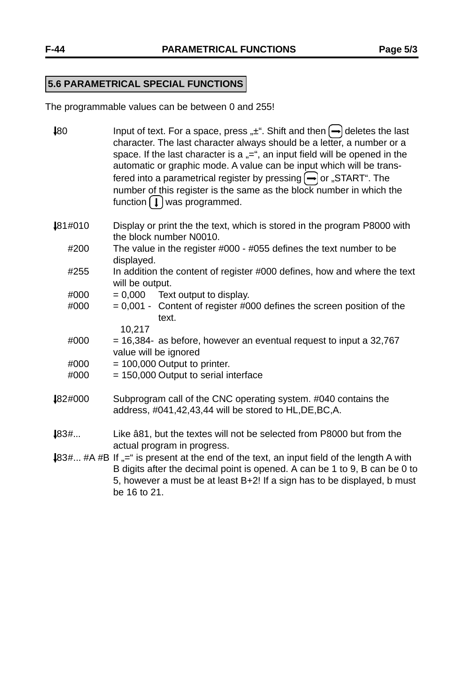# **5.6 PARAMETRICAL SPECIAL FUNCTIONS**

The programmable values can be between 0 and 255!

| $\downarrow 80$ | Input of text. For a space, press " $\pm$ ". Shift and then $\rightarrow$ deletes the last<br>character. The last character always should be a letter, a number or a<br>space. If the last character is a $n =$ ", an input field will be opened in the<br>automatic or graphic mode. A value can be input which will be trans-<br>fered into a parametrical register by pressing $\left(\rightarrow\right)$ or "START". The<br>number of this register is the same as the block number in which the<br>function $\left[\right. \downarrow \right)$ was programmed. |
|-----------------|---------------------------------------------------------------------------------------------------------------------------------------------------------------------------------------------------------------------------------------------------------------------------------------------------------------------------------------------------------------------------------------------------------------------------------------------------------------------------------------------------------------------------------------------------------------------|
| 181#010         | Display or print the the text, which is stored in the program P8000 with<br>the block number N0010.                                                                                                                                                                                                                                                                                                                                                                                                                                                                 |
| #200            | The value in the register #000 - #055 defines the text number to be<br>displayed.                                                                                                                                                                                                                                                                                                                                                                                                                                                                                   |
| #255            | In addition the content of register #000 defines, how and where the text<br>will be output.                                                                                                                                                                                                                                                                                                                                                                                                                                                                         |
| #000            | $= 0,000$ Text output to display.                                                                                                                                                                                                                                                                                                                                                                                                                                                                                                                                   |
| #000            | $= 0,001$ - Content of register #000 defines the screen position of the<br>text.                                                                                                                                                                                                                                                                                                                                                                                                                                                                                    |
| #000            | 10,217<br>$=$ 16,384- as before, however an eventual request to input a 32,767                                                                                                                                                                                                                                                                                                                                                                                                                                                                                      |
|                 | value will be ignored                                                                                                                                                                                                                                                                                                                                                                                                                                                                                                                                               |
| #000            | $= 100,000$ Output to printer.                                                                                                                                                                                                                                                                                                                                                                                                                                                                                                                                      |
| #000            | $= 150,000$ Output to serial interface                                                                                                                                                                                                                                                                                                                                                                                                                                                                                                                              |
| 182#000         | Subprogram call of the CNC operating system. #040 contains the<br>address, #041,42,43,44 will be stored to HL, DE, BC, A.                                                                                                                                                                                                                                                                                                                                                                                                                                           |
| 183#            | Like â81, but the textes will not be selected from P8000 but from the<br>actual program in progress.                                                                                                                                                                                                                                                                                                                                                                                                                                                                |
|                 | 483# #A #B If "=" is present at the end of the text, an input field of the length A with<br>B digits after the decimal point is opened. A can be 1 to 9, B can be 0 to<br>5, however a must be at least B+2! If a sign has to be displayed, b must<br>be 16 to 21.                                                                                                                                                                                                                                                                                                  |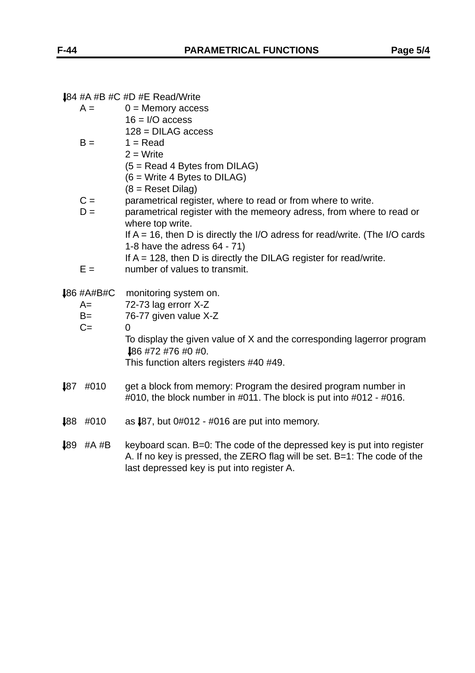|  |  | $\downarrow$ 84 #A #B #C #D #E Read/Write |  |
|--|--|-------------------------------------------|--|
|--|--|-------------------------------------------|--|

|              | $+04$ #A #D #U #D #E Neau/ $\frac{1}{100}$                                     |
|--------------|--------------------------------------------------------------------------------|
| $A =$        | $0 =$ Memory access                                                            |
|              | $16 = I/O$ access                                                              |
|              | $128 = DILAG access$                                                           |
| $B =$        | $1 = Read$                                                                     |
|              | $2 = Write$                                                                    |
|              |                                                                                |
|              | $(5 = Read 4$ Bytes from DILAG)                                                |
|              | $(6 = Write 4 Bytes to DILAG)$                                                 |
|              | $(8 =$ Reset Dilag)                                                            |
| $C =$        | parametrical register, where to read or from where to write.                   |
| $D =$        | parametrical register with the memeory adress, from where to read or           |
|              | where top write.                                                               |
|              | If $A = 16$ , then D is directly the I/O adress for read/write. (The I/O cards |
|              | 1-8 have the adress $64 - 71$ )                                                |
|              | If $A = 128$ , then D is directly the DILAG register for read/write.           |
|              |                                                                                |
| $E =$        | number of values to transmit.                                                  |
|              |                                                                                |
|              |                                                                                |
| $486$ #A#B#C | monitoring system on.                                                          |
| $A=$         | 72-73 lag errorr X-Z                                                           |
| $B=$         | 76-77 given value X-Z                                                          |
| $C =$        | $\Omega$                                                                       |
|              | To display the given value of X and the corresponding lagerror program         |
|              | 186 #72 #76 #0 #0.                                                             |
|              | This function alters registers #40 #49.                                        |
|              |                                                                                |
| #010<br>187  | get a block from memory: Program the desired program number in                 |
|              | #010, the block number in #011. The block is put into #012 - #016.             |
|              |                                                                                |
| 188<br>#010  | as $\sqrt{87}$ , but 0#012 - #016 are put into memory.                         |

 89 #A #B keyboard scan. B=0: The code of the depressed key is put into register A. If no key is pressed, the ZERO flag will be set. B=1: The code of the last depressed key is put into register A.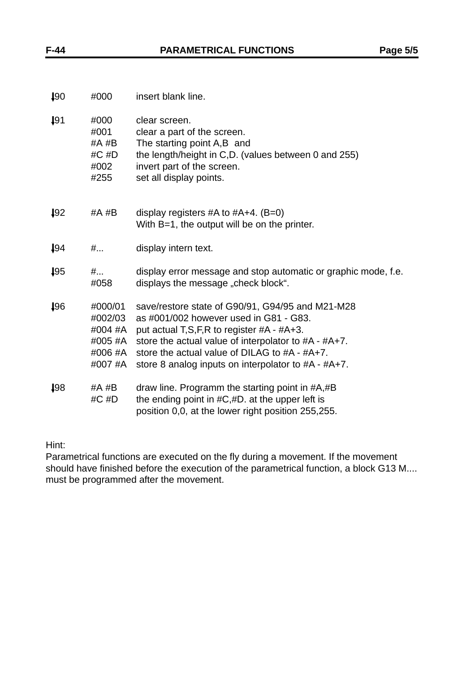| $\downarrow 90$ | #000                                                           | insert blank line.                                                                                                                                                                                                                                                                                             |
|-----------------|----------------------------------------------------------------|----------------------------------------------------------------------------------------------------------------------------------------------------------------------------------------------------------------------------------------------------------------------------------------------------------------|
| $\downarrow 91$ | #000<br>#001<br>#A #B<br>#C #D<br>#002<br>#255                 | clear screen.<br>clear a part of the screen.<br>The starting point A,B and<br>the length/height in C,D. (values between 0 and 255)<br>invert part of the screen.<br>set all display points.                                                                                                                    |
| $\downarrow 92$ | #A #B                                                          | display registers #A to $#A+4$ . (B=0)<br>With B=1, the output will be on the printer.                                                                                                                                                                                                                         |
| 194             | #                                                              | display intern text.                                                                                                                                                                                                                                                                                           |
| $\downarrow 95$ | #<br>#058                                                      | display error message and stop automatic or graphic mode, f.e.<br>displays the message, check block".                                                                                                                                                                                                          |
| 196             | #000/01<br>#002/03<br>#004 #A<br>#005 #A<br>#006 #A<br>#007 #A | save/restore state of G90/91, G94/95 and M21-M28<br>as #001/002 however used in G81 - G83.<br>put actual T,S,F,R to register $#A - #A +3$ .<br>store the actual value of interpolator to #A - #A+7.<br>store the actual value of DILAG to $#A - #A+7$ .<br>store 8 analog inputs on interpolator to #A - #A+7. |
| 198             | #A #B<br>#C #D                                                 | draw line. Programm the starting point in #A,#B<br>the ending point in $\#C, \#D$ . at the upper left is<br>position 0,0, at the lower right position 255,255.                                                                                                                                                 |

Hint:

Parametrical functions are executed on the fly during a movement. If the movement should have finished before the execution of the parametrical function, a block G13 M.... must be programmed after the movement.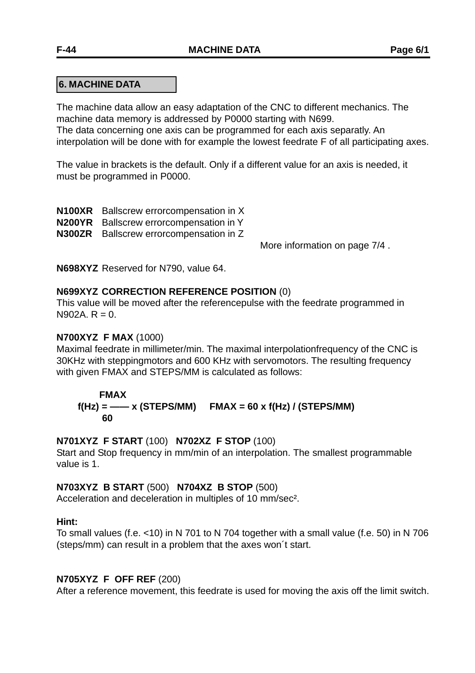## **6. MACHINE DATA**

The machine data allow an easy adaptation of the CNC to different mechanics. The machine data memory is addressed by P0000 starting with N699.

The data concerning one axis can be programmed for each axis separatly. An interpolation will be done with for example the lowest feedrate F of all participating axes.

The value in brackets is the default. Only if a different value for an axis is needed, it must be programmed in P0000.

**N100XR** Ballscrew errorcompensation in X

**N200YR** Ballscrew errorcompensation in Y

**N300ZR** Ballscrew errorcompensation in Z

More information on page 7/4 .

**N698XYZ** Reserved for N790, value 64.

#### **N699XYZ CORRECTION REFERENCE POSITION** (0)

This value will be moved after the referencepulse with the feedrate programmed in  $N902A$  R = 0.

#### **N700XYZ F MAX** (1000)

Maximal feedrate in millimeter/min. The maximal interpolationfrequency of the CNC is 30KHz with steppingmotors and 600 KHz with servomotors. The resulting frequency with given FMAX and STEPS/MM is calculated as follows:

#### **FMAX**

## $f(Hz) =$  —— x (STEPS/MM) FMAX = 60 x  $f(Hz)$  / (STEPS/MM)  **60**

#### **N701XYZ F START** (100) **N702XZ F STOP** (100)

Start and Stop frequency in mm/min of an interpolation. The smallest programmable value is 1.

#### **N703XYZ B START** (500) **N704XZ B STOP** (500)

Acceleration and deceleration in multiples of 10 mm/sec².

#### **Hint:**

To small values (f.e. <10) in N 701 to N 704 together with a small value (f.e. 50) in N 706 (steps/mm) can result in a problem that the axes won´t start.

#### **N705XYZ F OFF REF** (200)

After a reference movement, this feedrate is used for moving the axis off the limit switch.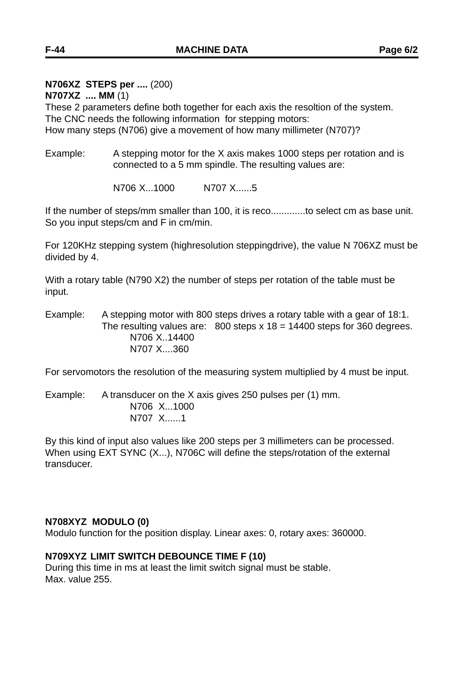## **N706XZ STEPS per ....** (200)

**N707XZ .... MM** (1)

These 2 parameters define both together for each axis the resoltion of the system. The CNC needs the following information for stepping motors: How many steps (N706) give a movement of how many millimeter (N707)?

Example: A stepping motor for the X axis makes 1000 steps per rotation and is connected to a 5 mm spindle. The resulting values are:

N706 X...1000 N707 X......5

If the number of steps/mm smaller than 100, it is reco.............to select cm as base unit. So you input steps/cm and F in cm/min.

For 120KHz stepping system (highresolution steppingdrive), the value N 706XZ must be divided by 4.

With a rotary table (N790 X2) the number of steps per rotation of the table must be input.

Example: A stepping motor with 800 steps drives a rotary table with a gear of 18:1. The resulting values are:  $800$  steps x  $18 = 14400$  steps for 360 degrees. N706 X..14400 N707 X....360

For servomotors the resolution of the measuring system multiplied by 4 must be input.

Example: A transducer on the X axis gives 250 pulses per (1) mm. N706 X...1000 N707 X......1

By this kind of input also values like 200 steps per 3 millimeters can be processed. When using EXT SYNC (X...), N706C will define the steps/rotation of the external transducer.

#### **N708XYZ MODULO (0)**

Modulo function for the position display. Linear axes: 0, rotary axes: 360000.

#### **N709XYZ LIMIT SWITCH DEBOUNCE TIME F (10)**

During this time in ms at least the limit switch signal must be stable. Max. value 255.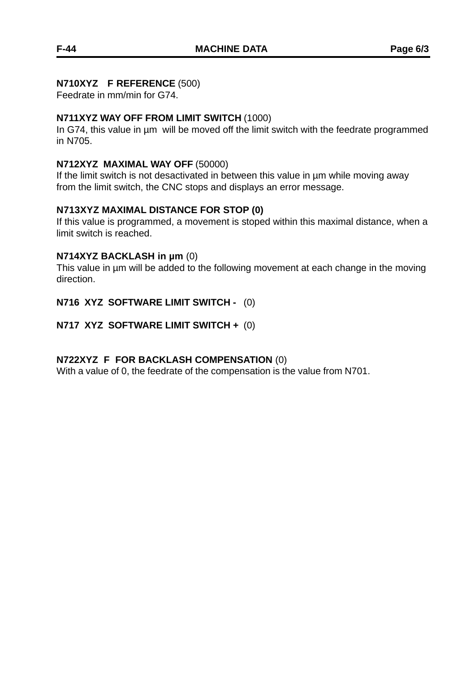#### **N710XYZ F REFERENCE** (500)

Feedrate in mm/min for G74.

## **N711XYZ WAY OFF FROM LIMIT SWITCH** (1000)

In G74, this value in µm will be moved off the limit switch with the feedrate programmed in N705.

## **N712XYZ MAXIMAL WAY OFF** (50000)

If the limit switch is not desactivated in between this value in µm while moving away from the limit switch, the CNC stops and displays an error message.

## **N713XYZ MAXIMAL DISTANCE FOR STOP (0)**

If this value is programmed, a movement is stoped within this maximal distance, when a limit switch is reached.

## **N714XYZ BACKLASH in µm** (0)

This value in µm will be added to the following movement at each change in the moving direction.

## **N716 XYZ SOFTWARE LIMIT SWITCH -** (0)

## **N717 XYZ SOFTWARE LIMIT SWITCH +** (0)

## **N722XYZ F FOR BACKLASH COMPENSATION** (0)

With a value of 0, the feedrate of the compensation is the value from N701.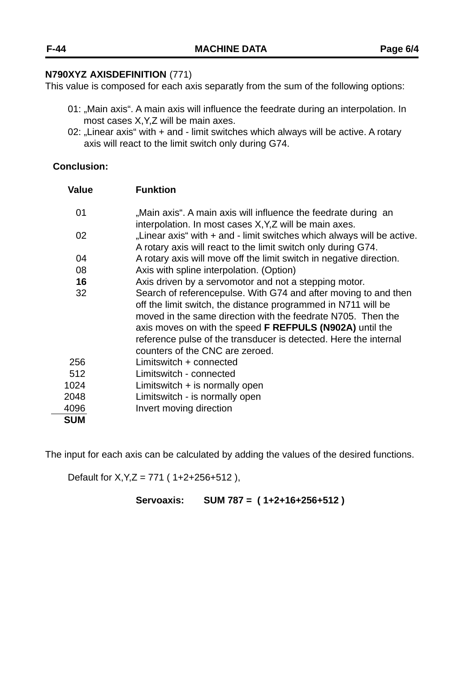#### **N790XYZ AXISDEFINITION** (771)

This value is composed for each axis separatly from the sum of the following options:

- 01: "Main axis". A main axis will influence the feedrate during an interpolation. In most cases X,Y,Z will be main axes.
- 02: "Linear axis" with + and limit switches which always will be active. A rotary axis will react to the limit switch only during G74.

## **Conclusion:**

| <b>Value</b> | <b>Funktion</b>                                                                                                                                                                                                                                                                                                                                                            |
|--------------|----------------------------------------------------------------------------------------------------------------------------------------------------------------------------------------------------------------------------------------------------------------------------------------------------------------------------------------------------------------------------|
| 01           | "Main axis". A main axis will influence the feedrate during an<br>interpolation. In most cases X, Y, Z will be main axes.                                                                                                                                                                                                                                                  |
| 02           | "Linear axis" with + and - limit switches which always will be active.<br>A rotary axis will react to the limit switch only during G74.                                                                                                                                                                                                                                    |
| 04           | A rotary axis will move off the limit switch in negative direction.                                                                                                                                                                                                                                                                                                        |
| 08           | Axis with spline interpolation. (Option)                                                                                                                                                                                                                                                                                                                                   |
| 16           | Axis driven by a servomotor and not a stepping motor.                                                                                                                                                                                                                                                                                                                      |
| 32           | Search of referencepulse. With G74 and after moving to and then<br>off the limit switch, the distance programmed in N711 will be<br>moved in the same direction with the feedrate N705. Then the<br>axis moves on with the speed <b>F REFPULS (N902A)</b> until the<br>reference pulse of the transducer is detected. Here the internal<br>counters of the CNC are zeroed. |
| 256          | Limitswitch $+$ connected                                                                                                                                                                                                                                                                                                                                                  |
| 512          | Limitswitch - connected                                                                                                                                                                                                                                                                                                                                                    |
| 1024         | Limitswitch $+$ is normally open                                                                                                                                                                                                                                                                                                                                           |
| 2048         | Limitswitch - is normally open                                                                                                                                                                                                                                                                                                                                             |
| 4096         | Invert moving direction                                                                                                                                                                                                                                                                                                                                                    |
| <b>SUM</b>   |                                                                                                                                                                                                                                                                                                                                                                            |

The input for each axis can be calculated by adding the values of the desired functions.

Default for  $X, Y, Z = 771$  (1+2+256+512),

**Servoaxis: SUM 787 = ( 1+2+16+256+512 )**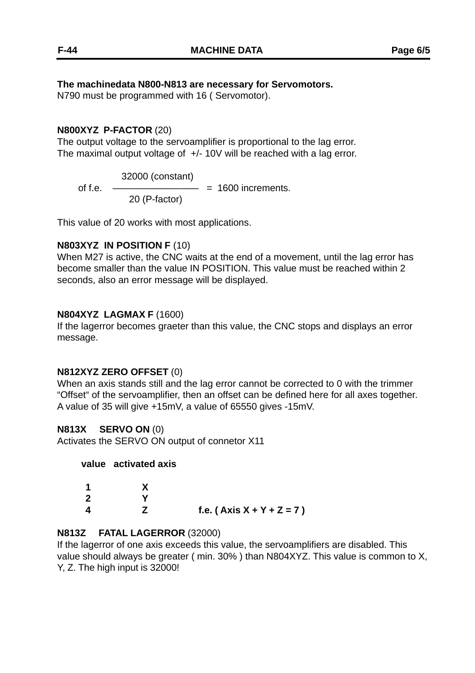## **The machinedata N800-N813 are necessary for Servomotors.**

N790 must be programmed with 16 ( Servomotor).

#### **N800XYZ P-FACTOR** (20)

The output voltage to the servoamplifier is proportional to the lag error. The maximal output voltage of  $+/-10V$  will be reached with a lag error.

 32000 (constant) of f.e.  $\frac{1}{2}$  = 1600 increments. 20 (P-factor)

This value of 20 works with most applications.

## **N803XYZ IN POSITION F** (10)

When M27 is active, the CNC waits at the end of a movement, until the lag error has become smaller than the value IN POSITION. This value must be reached within 2 seconds, also an error message will be displayed.

#### **N804XYZ LAGMAX F** (1600)

If the lagerror becomes graeter than this value, the CNC stops and displays an error message.

#### **N812XYZ ZERO OFFSET** (0)

When an axis stands still and the lag error cannot be corrected to 0 with the trimmer "Offset" of the servoamplifier, then an offset can be defined here for all axes together. A value of 35 will give +15mV, a value of 65550 gives -15mV.

## **N813X SERVO ON** (0)

Activates the SERVO ON output of connetor X11

#### **value activated axis**

| 1           |                             |
|-------------|-----------------------------|
| $\mathbf 2$ |                             |
| 4           | f.e. $(Axis X + Y + Z = 7)$ |

#### **N813Z FATAL LAGERROR** (32000)

If the lagerror of one axis exceeds this value, the servoamplifiers are disabled. This value should always be greater ( min. 30% ) than N804XYZ. This value is common to X, Y, Z. The high input is 32000!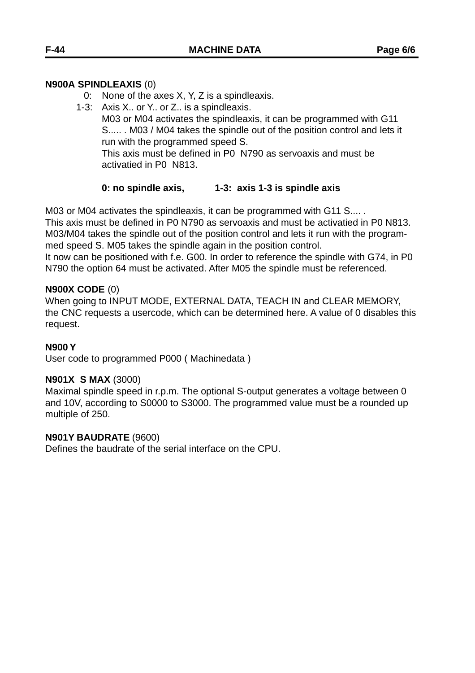## **N900A SPINDLEAXIS** (0)

- 0: None of the axes X, Y, Z is a spindleaxis.
- 1-3: Axis X.. or Y.. or Z.. is a spindleaxis. M03 or M04 activates the spindleaxis, it can be programmed with G11 S..... . M03 / M04 takes the spindle out of the position control and lets it run with the programmed speed S. This axis must be defined in P0 N790 as servoaxis and must be activatied in P0 N813.

## **0: no spindle axis, 1-3: axis 1-3 is spindle axis**

M03 or M04 activates the spindleaxis, it can be programmed with G11 S.... .

This axis must be defined in P0 N790 as servoaxis and must be activatied in P0 N813. M03/M04 takes the spindle out of the position control and lets it run with the programmed speed S. M05 takes the spindle again in the position control.

It now can be positioned with f.e. G00. In order to reference the spindle with G74, in P0 N790 the option 64 must be activated. After M05 the spindle must be referenced.

## **N900X CODE** (0)

When going to INPUT MODE, EXTERNAL DATA, TEACH IN and CLEAR MEMORY, the CNC requests a usercode, which can be determined here. A value of 0 disables this request.

## **N900 Y**

User code to programmed P000 ( Machinedata )

## **N901X S MAX** (3000)

Maximal spindle speed in r.p.m. The optional S-output generates a voltage between 0 and 10V, according to S0000 to S3000. The programmed value must be a rounded up multiple of 250.

## **N901Y BAUDRATE** (9600)

Defines the baudrate of the serial interface on the CPU.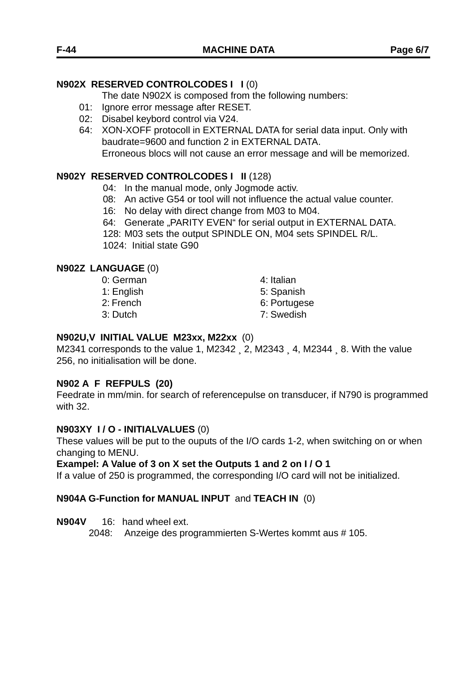## **N902X RESERVED CONTROLCODES I I** (0)

The date N902X is composed from the following numbers:

- 01: Ignore error message after RESET.
- 02: Disabel keybord control via V24.
- 64: XON-XOFF protocoll in EXTERNAL DATA for serial data input. Only with baudrate=9600 and function 2 in EXTERNAL DATA. Erroneous blocs will not cause an error message and will be memorized.

## **N902Y RESERVED CONTROLCODES I II** (128)

- 04: In the manual mode, only Jogmode activ.
- 08: An active G54 or tool will not influence the actual value counter.
- 16: No delay with direct change from M03 to M04.
- 64: Generate "PARITY EVEN" for serial output in EXTERNAL DATA.
- 128: M03 sets the output SPINDLE ON, M04 sets SPINDEL R/L. 1024: Initial state G90

#### **N902Z LANGUAGE** (0)

| 4: Italian   |
|--------------|
| 5: Spanish   |
| 6: Portugese |
| 7: Swedish   |
|              |

#### **N902U,V INITIAL VALUE M23xx, M22xx** (0)

M2341 corresponds to the value 1, M2342 <sub>1</sub> 2, M2343 <sub>1</sub> 4, M2344 <sub>1</sub> 8. With the value 256, no initialisation will be done.

## **N902 A F REFPULS (20)**

Feedrate in mm/min. for search of referencepulse on transducer, if N790 is programmed with 32.

#### **N903XY I / O - INITIALVALUES** (0)

These values will be put to the ouputs of the I/O cards 1-2, when switching on or when changing to MENU.

#### **Exampel: A Value of 3 on X set the Outputs 1 and 2 on I / O 1**

If a value of 250 is programmed, the corresponding I/O card will not be initialized.

#### **N904A G-Function for MANUAL INPUT** and **TEACH IN** (0)

**N904V** 16: hand wheel ext.

2048: Anzeige des programmierten S-Wertes kommt aus # 105.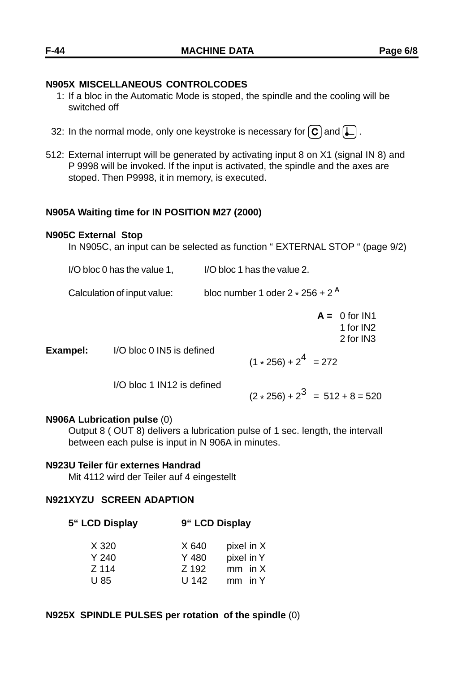#### **N905X MISCELLANEOUS CONTROLCODES**

- 1: If a bloc in the Automatic Mode is stoped, the spindle and the cooling will be switched off
- 32: In the normal mode, only one keystroke is necessary for  $\left[\mathbf{C}\right]$  and  $\left[\mathbf{L}\right]$ .
- 512: External interrupt will be generated by activating input 8 on X1 (signal IN 8) and P 9998 will be invoked. If the input is activated, the spindle and the axes are stoped. Then P9998, it in memory, is executed.

#### **N905A Waiting time for IN POSITION M27 (2000)**

#### **N905C External Stop**

In N905C, an input can be selected as function " EXTERNAL STOP " (page 9/2)

I/O bloc 0 has the value 1, I/O bloc 1 has the value 2.

Calculation of input value: bloc number 1 oder 2 \* 256 + 2 **<sup>A</sup>**

 $A = 0$  for IN1 1 for IN2 2 for IN3

**Exampel:** I/O bloc 0 IN5 is defined

 $(1 \times 256) + 2^4 = 272$ 

I/O bloc 1 IN12 is defined

 $(2 \times 256) + 2^3 = 512 + 8 = 520$ 

#### **N906A Lubrication pulse** (0)

Output 8 ( OUT 8) delivers a lubrication pulse of 1 sec. length, the intervall between each pulse is input in N 906A in minutes.

#### **N923U Teiler für externes Handrad**

Mit 4112 wird der Teiler auf 4 eingestellt

## **N921XYZU SCREEN ADAPTION**

**5" LCD Display 9" LCD Display**

| X 320            | X 640 | pixel in X |  |
|------------------|-------|------------|--|
| Y <sub>240</sub> | Y 480 | pixel in Y |  |
| Z 114            | Z 192 | $mm$ in X  |  |
| U 85             | U 142 | $mm$ in Y  |  |

#### **N925X SPINDLE PULSES per rotation of the spindle** (0)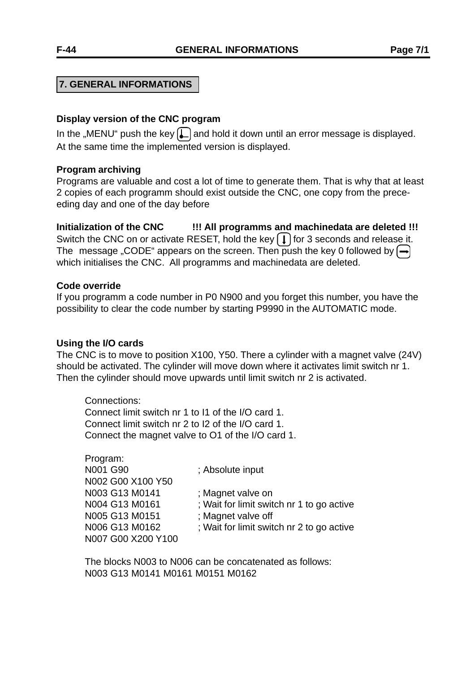## **7. GENERAL INFORMATIONS**

#### **Display version of the CNC program**

In the "MENU" push the key  $\Box$  and hold it down until an error message is displayed. At the same time the implemented version is displayed.

#### **Program archiving**

Programs are valuable and cost a lot of time to generate them. That is why that at least 2 copies of each programm should exist outside the CNC, one copy from the preceeding day and one of the day before

**Initialization of the CNC !!! All programms and machinedata are deleted !!!** Switch the CNC on or activate RESET, hold the key  $\left[ \downarrow \right]$  for 3 seconds and release it. The message "CODE" appears on the screen. Then push the key 0 followed by  $\bigcap$ which initialises the CNC. All programms and machinedata are deleted.

#### **Code override**

If you programm a code number in P0 N900 and you forget this number, you have the possibility to clear the code number by starting P9990 in the AUTOMATIC mode.

#### **Using the I/O cards**

The CNC is to move to position X100, Y50. There a cylinder with a magnet valve (24V) should be activated. The cylinder will move down where it activates limit switch nr 1. Then the cylinder should move upwards until limit switch nr 2 is activated.

Connections: Connect limit switch nr 1 to I1 of the I/O card 1. Connect limit switch nr 2 to I2 of the I/O card 1. Connect the magnet valve to O1 of the I/O card 1.

Program: N001 G90 ; Absolute input N002 G00 X100 Y50 N003 G13 M0141 ; Magnet valve on N005 G13 M0151 ; Magnet valve off N007 G00 X200 Y100

N004 G13 M0161 ; Wait for limit switch nr 1 to go active

N006 G13 M0162 ; Wait for limit switch nr 2 to go active

The blocks N003 to N006 can be concatenated as follows: N003 G13 M0141 M0161 M0151 M0162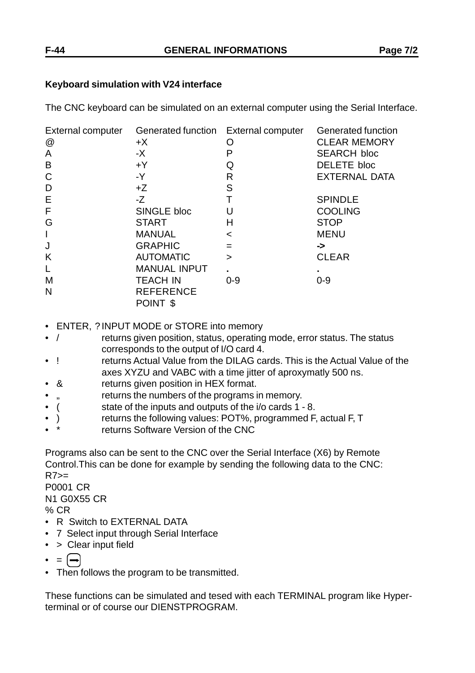## **Keyboard simulation with V24 interface**

The CNC keyboard can be simulated on an external computer using the Serial Interface.

| External computer | Generated function External computer |         | Generated function   |
|-------------------|--------------------------------------|---------|----------------------|
| @                 | $+X$                                 | Ω       | <b>CLEAR MEMORY</b>  |
| A                 | $-X$                                 | P       | <b>SEARCH bloc</b>   |
| B                 | $+Y$                                 | Q       | DELETE bloc          |
| C                 | $-Y$                                 | R       | <b>EXTERNAL DATA</b> |
| D                 | +Z                                   | S       |                      |
| Ε                 | $-Z$                                 | Т       | <b>SPINDLE</b>       |
| F                 | SINGLE bloc                          |         | <b>COOLING</b>       |
| G                 | <b>START</b>                         | н       | <b>STOP</b>          |
| I                 | <b>MANUAL</b>                        | $\,<\,$ | <b>MENU</b>          |
| J                 | <b>GRAPHIC</b>                       | $=$     | ->                   |
| K                 | <b>AUTOMATIC</b>                     | $\geq$  | <b>CLEAR</b>         |
| L                 | <b>MANUAL INPUT</b>                  |         |                      |
| M                 | <b>TEACH IN</b>                      | $0 - 9$ | $0 - 9$              |
| N                 | <b>REFERENCE</b>                     |         |                      |
|                   | POINT <sub>\$</sub>                  |         |                      |

- ENTER, ? INPUT MODE or STORE into memory
- / returns given position, status, operating mode, error status. The status corresponds to the output of I/O card 4.
- ! returns Actual Value from the DILAG cards. This is the Actual Value of the axes XYZU and VABC with a time jitter of aproxymatly 500 ns.
- & returns given position in HEX format.
- " returns the numbers of the programs in memory.
- ( state of the inputs and outputs of the i/o cards 1 8.
- ) returns the following values: POT%, programmed F, actual F, T
- returns Software Version of the CNC

Programs also can be sent to the CNC over the Serial Interface (X6) by Remote Control.This can be done for example by sending the following data to the CNC:  $R7>=$ P0001 CR N1 G0X55 CR

% CR

- R Switch to EXTERNAL DATA
- 7 Select input through Serial Interface
- > Clear input field
- $\bullet$  =  $\leftarrow$
- Then follows the program to be transmitted.

These functions can be simulated and tesed with each TERMINAL program like Hyperterminal or of course our DIENSTPROGRAM.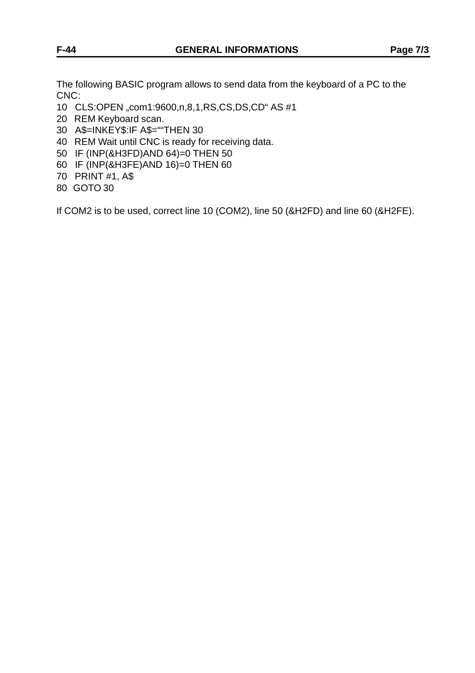The following BASIC program allows to send data from the keyboard of a PC to the CNC:

- 10 CLS:OPEN "com1:9600,n,8,1,RS,CS,DS,CD" AS #1
- 20 REM Keyboard scan.
- 30 A\$=INKEY\$:IF A\$=""THEN 30
- 40 REM Wait until CNC is ready for receiving data.
- 50 IF (INP(&H3FD)AND 64)=0 THEN 50
- 60 IF (INP(&H3FE)AND 16)=0 THEN 60
- 70 PRINT #1, A\$
- 80 GOTO 30

If COM2 is to be used, correct line 10 (COM2), line 50 (&H2FD) and line 60 (&H2FE).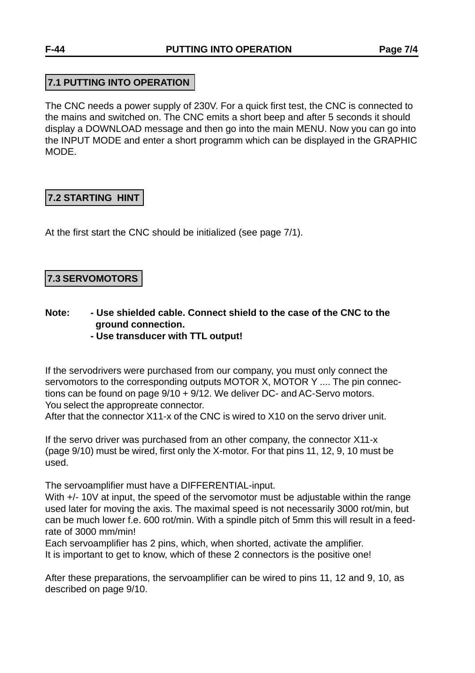## **7.1 PUTTING INTO OPERATION**

The CNC needs a power supply of 230V. For a quick first test, the CNC is connected to the mains and switched on. The CNC emits a short beep and after 5 seconds it should display a DOWNLOAD message and then go into the main MENU. Now you can go into the INPUT MODE and enter a short programm which can be displayed in the GRAPHIC MODE.

# **7.2 STARTING HINT**

At the first start the CNC should be initialized (see page 7/1).

# **7.3 SERVOMOTORS**

- **Note: Use shielded cable. Connect shield to the case of the CNC to the ground connection.**
	- **Use transducer with TTL output!**

If the servodrivers were purchased from our company, you must only connect the servomotors to the corresponding outputs MOTOR X, MOTOR Y .... The pin connections can be found on page 9/10 + 9/12. We deliver DC- and AC-Servo motors. You select the appropreate connector.

After that the connector X11-x of the CNC is wired to X10 on the servo driver unit.

If the servo driver was purchased from an other company, the connector X11-x (page 9/10) must be wired, first only the X-motor. For that pins 11, 12, 9, 10 must be used.

The servoamplifier must have a DIFFERENTIAL-input.

With  $+/- 10V$  at input, the speed of the servomotor must be adjustable within the range used later for moving the axis. The maximal speed is not necessarily 3000 rot/min, but can be much lower f.e. 600 rot/min. With a spindle pitch of 5mm this will result in a feedrate of 3000 mm/min!

Each servoamplifier has 2 pins, which, when shorted, activate the amplifier. It is important to get to know, which of these 2 connectors is the positive one!

After these preparations, the servoamplifier can be wired to pins 11, 12 and 9, 10, as described on page 9/10.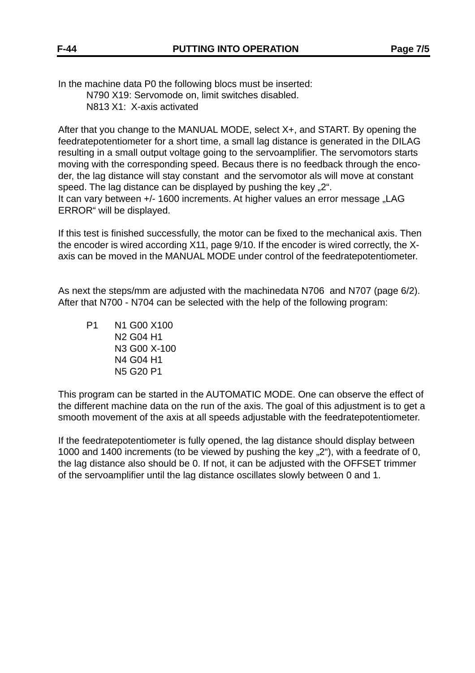In the machine data P0 the following blocs must be inserted: N790 X19: Servomode on, limit switches disabled. N813 X1: X-axis activated

After that you change to the MANUAL MODE, select X+, and START. By opening the feedratepotentiometer for a short time, a small lag distance is generated in the DILAG resulting in a small output voltage going to the servoamplifier. The servomotors starts moving with the corresponding speed. Becaus there is no feedback through the encoder, the lag distance will stay constant and the servomotor als will move at constant speed. The lag distance can be displayed by pushing the key "2". It can vary between +/- 1600 increments. At higher values an error message "LAG ERROR" will be displayed.

If this test is finished successfully, the motor can be fixed to the mechanical axis. Then the encoder is wired according X11, page 9/10. If the encoder is wired correctly, the Xaxis can be moved in the MANUAL MODE under control of the feedratepotentiometer.

As next the steps/mm are adjusted with the machinedata N706 and N707 (page 6/2). After that N700 - N704 can be selected with the help of the following program:

P1 N1 G00 X100 N2 G04 H1 N3 G00 X-100 N4 G04 H1 N5 G20 P1

This program can be started in the AUTOMATIC MODE. One can observe the effect of the different machine data on the run of the axis. The goal of this adjustment is to get a smooth movement of the axis at all speeds adjustable with the feedratepotentiometer.

If the feedratepotentiometer is fully opened, the lag distance should display between 1000 and 1400 increments (to be viewed by pushing the key "2"), with a feedrate of 0, the lag distance also should be 0. If not, it can be adjusted with the OFFSET trimmer of the servoamplifier until the lag distance oscillates slowly between 0 and 1.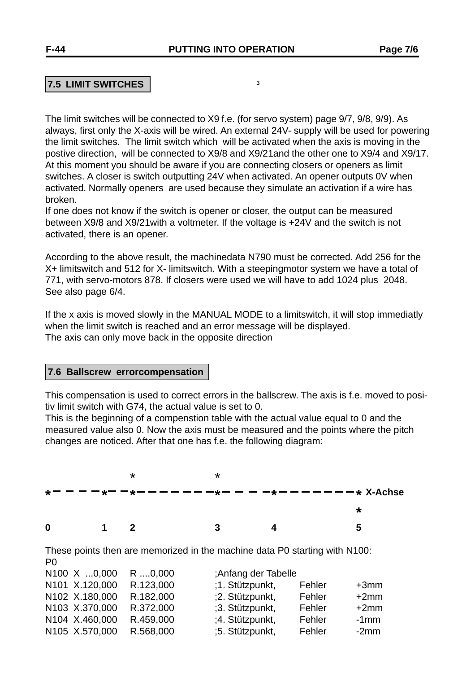## **7.5 LIMIT SWITCHES**

The limit switches will be connected to X9 f.e. (for servo system) page 9/7, 9/8, 9/9). As always, first only the X-axis will be wired. An external 24V- supply will be used for powering the limit switches. The limit switch which will be activated when the axis is moving in the postive direction, will be connected to X9/8 and X9/21and the other one to X9/4 and X9/17. At this moment you should be aware if you are connecting closers or openers as limit switches. A closer is switch outputting 24V when activated. An opener outputs 0V when activated. Normally openers are used because they simulate an activation if a wire has broken.

If one does not know if the switch is opener or closer, the output can be measured between X9/8 and X9/21with a voltmeter. If the voltage is +24V and the switch is not activated, there is an opener.

According to the above result, the machinedata N790 must be corrected. Add 256 for the X+ limitswitch and 512 for X- limitswitch. With a steepingmotor system we have a total of 771, with servo-motors 878. If closers were used we will have to add 1024 plus 2048. See also page 6/4.

If the x axis is moved slowly in the MANUAL MODE to a limitswitch, it will stop immediatly when the limit switch is reached and an error message will be displayed. The axis can only move back in the opposite direction

#### **7.6 Ballscrew errorcompensation**

This compensation is used to correct errors in the ballscrew. The axis is f.e. moved to positiv limit switch with G74, the actual value is set to 0.

This is the beginning of a compenstion table with the actual value equal to 0 and the measured value also 0. Now the axis must be measured and the points where the pitch changes are noticed. After that one has f.e. the following diagram:

|             |             | * | * |                                                            |
|-------------|-------------|---|---|------------------------------------------------------------|
| $\star$ $-$ |             |   |   | - — — — *— —*— — — — — — —*— — — —*— — — — — — — * X-Achse |
|             |             |   |   |                                                            |
| 0           | $\mathbf 1$ |   | 3 | Б                                                          |

These points then are memorized in the machine data P0 starting with N100: P0

| N <sub>100</sub> X 0,000 | $R$ $0,000$ | ;Anfang der Tabelle |        |         |
|--------------------------|-------------|---------------------|--------|---------|
| N101 X.120,000           | R.123,000   | ;1. Stützpunkt,     | Fehler | $+3mm$  |
| N102 X.180,000           | R.182,000   | :2. Stützpunkt,     | Fehler | $+2mm$  |
| N103 X.370,000           | R.372,000   | ;3. Stützpunkt,     | Fehler | $+2mm$  |
| N104 X.460,000           | R.459,000   | ;4. Stützpunkt,     | Fehler | $-1$ mm |
| N105 X.570,000           | R.568,000   | ;5. Stützpunkt,     | Fehler | $-2mm$  |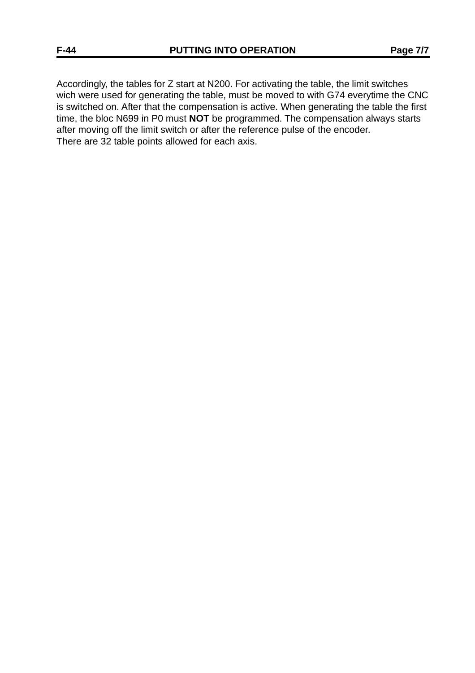Accordingly, the tables for Z start at N200. For activating the table, the limit switches wich were used for generating the table, must be moved to with G74 everytime the CNC is switched on. After that the compensation is active. When generating the table the first time, the bloc N699 in P0 must **NOT** be programmed. The compensation always starts after moving off the limit switch or after the reference pulse of the encoder. There are 32 table points allowed for each axis.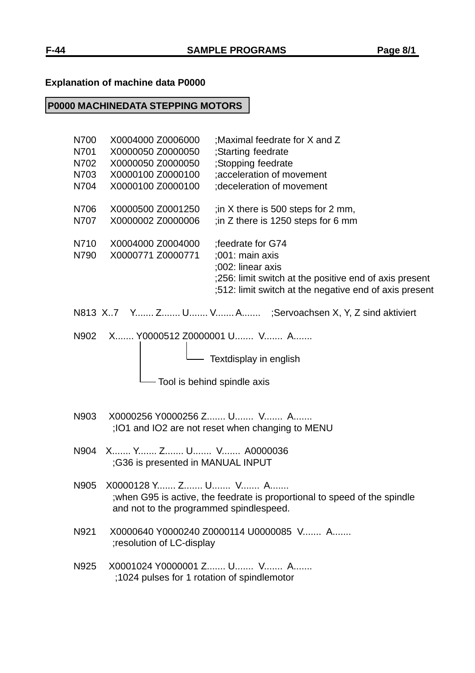# **Explanation of machine data P0000**

# **P0000 MACHINEDATA STEPPING MOTORS**

| N700<br>N701<br>N702<br>N703 | X0004000 Z0006000<br>; Maximal feedrate for X and Z<br>X0000050 Z0000050<br>;Starting feedrate<br>;Stopping feedrate<br>X0000050 Z0000050<br>X0000100 Z0000100<br>;acceleration of movement                               |
|------------------------------|---------------------------------------------------------------------------------------------------------------------------------------------------------------------------------------------------------------------------|
| N704                         | X0000100 Z0000100<br>; deceleration of movement                                                                                                                                                                           |
| N706<br>N707                 | X0000500 Z0001250<br>; in X there is 500 steps for 2 mm,<br>X0000002 Z0000006<br>; in Z there is 1250 steps for 6 mm                                                                                                      |
| N710<br>N790                 | X0004000 Z0004000<br>;feedrate for G74<br>X0000771 Z0000771<br>$:001:$ main axis<br>;002: linear axis<br>;256: limit switch at the positive end of axis present<br>;512: limit switch at the negative end of axis present |
|                              | N813 X7 Y Z U V A ;Servoachsen X, Y, Z sind aktiviert                                                                                                                                                                     |
| N902                         | X Y0000512 Z0000001 U V A<br>- Textdisplay in english<br>- Tool is behind spindle axis                                                                                                                                    |
| N903                         | X0000256 Y0000256 Z U V A<br>;101 and IO2 are not reset when changing to MENU                                                                                                                                             |
| N904                         | X Y Z U V A0000036<br>;G36 is presented in MANUAL INPUT                                                                                                                                                                   |
| N905                         | X0000128 Y Z U V A<br>; when G95 is active, the feedrate is proportional to speed of the spindle<br>and not to the programmed spindlespeed.                                                                               |
| N921                         | X0000640 Y0000240 Z0000114 U0000085 V A<br>; resolution of LC-display                                                                                                                                                     |
| N925                         | X0001024 Y0000001 Z U V A<br>;1024 pulses for 1 rotation of spindlemotor                                                                                                                                                  |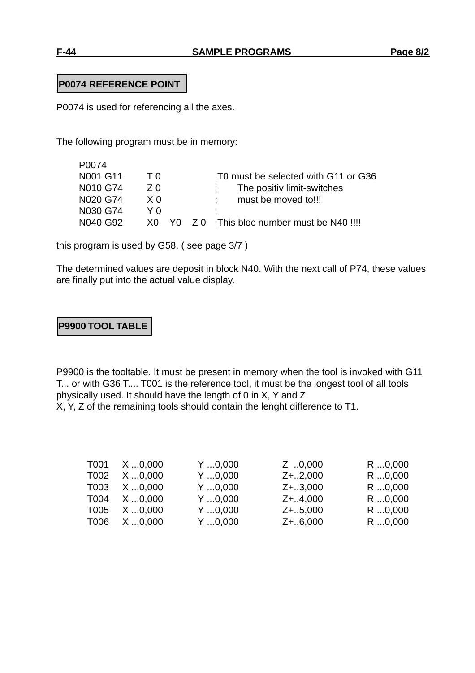## **P0074 REFERENCE POINT**

P0074 is used for referencing all the axes.

The following program must be in memory:

| P0074    |     |                                               |
|----------|-----|-----------------------------------------------|
| N001 G11 | ΤO  | T0 must be selected with G11 or G36           |
| N010 G74 | 7 Q | The positiv limit-switches                    |
| N020 G74 | X 0 | must be moved to!!!                           |
| N030 G74 |     | ٠                                             |
| N040 G92 |     | X0 Y0 Z 0 ; This bloc number must be N40 !!!! |

this program is used by G58. ( see page 3/7 )

The determined values are deposit in block N40. With the next call of P74, these values are finally put into the actual value display.

## **P9900 TOOL TABLE**

P9900 is the tooltable. It must be present in memory when the tool is invoked with G11 T... or with G36 T.... T001 is the reference tool, it must be the longest tool of all tools physically used. It should have the length of 0 in X, Y and Z. X, Y, Z of the remaining tools should contain the lenght difference to T1.

| T001 | $X$ 0,000   | $Y$ $0,000$ | Z 0,000    | $R$ 0,000 |
|------|-------------|-------------|------------|-----------|
| T002 | $X$ $0,000$ | Y0,000      | $Z+.2,000$ | R 0,000   |
| T003 | $X$ $0,000$ | $Y$ $0,000$ | $Z+.3,000$ | R 0,000   |
| T004 | $X$ 0,000   | $Y$ $0,000$ | $Z+.4,000$ | R 0,000   |
| T005 | $X$ 0,000   | $Y$ $0,000$ | $Z+.5,000$ | R 0,000   |
| T006 | $X$ 0,000   | Y0,000      | $Z+.6,000$ | R 0,000   |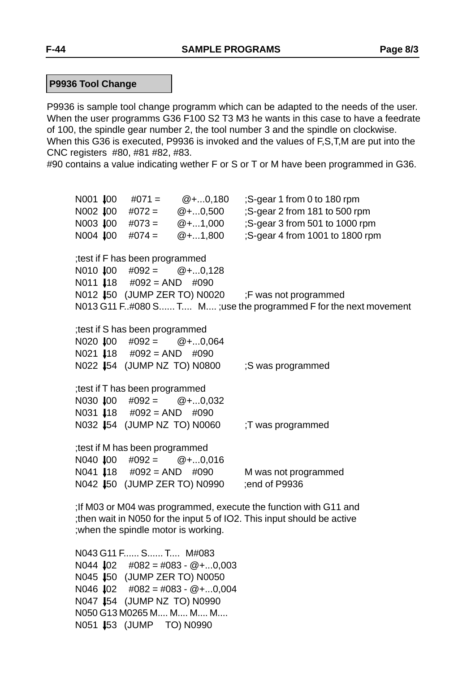P9936 is sample tool change programm which can be adapted to the needs of the user. When the user programms G36 F100 S2 T3 M3 he wants in this case to have a feedrate of 100, the spindle gear number 2, the tool number 3 and the spindle on clockwise. When this G36 is executed, P9936 is invoked and the values of F,S,T,M are put into the CNC registers #80, #81 #82, #83.

#90 contains a value indicating wether F or S or T or M have been programmed in G36.

N001  $\text{\#}00 \quad \text{\#}071 = \text{\#}0.180 \quad \text{;S-gear 1 from 0 to 180 rpm}$ N002  $\text{\#}00 \quad \text{\#}072 = \quad \text{\#}...0,500 \quad \text{;S-qear 2 from 181 to 500 rpm}$ N003  $\text{100 }$  #073 =  $\text{Q} + \dots 1,000$  ; S-gear 3 from 501 to 1000 rpm N004  $\text{400 }$  #074 = @+...1,800 ;S-gear 4 from 1001 to 1800 rpm ;test if F has been programmed  $N010$   $100$   $\#092 =$   $\textcircled{+} \dots 0.128$ N011  $\text{18}$  #092 = AND #090 N012  $\uparrow$  50 (JUMP ZER TO) N0020 ;F was not programmed N013 G11 F..#080 S...... T.... M.... ;use the programmed F for the next movement ;test if S has been programmed  $N020$   $100$   $\#092 =$   $\textcircled{2} + \dots 0,064$ N021  $\downarrow$ 18 #092 = AND #090 N022 454 (JUMP NZ TO) N0800 ;S was programmed ;test if T has been programmed N030  $\text{IO}$  #092 = @+...0,032 N031  $\downarrow$ 18 #092 = AND #090 N032 **J**54 (JUMP NZ TO) N0060 ; T was programmed ;test if M has been programmed N040  $\downarrow$ 00 #092 = @+...0,016 N041  $\downarrow$ 18 #092 = AND #090 M was not programmed N042 50 (JUMP ZER TO) N0990 ;end of P9936 ;If M03 or M04 was programmed, execute the function with G11 and ;then wait in N050 for the input 5 of IO2. This input should be active

N043 G11 F...... S...... T.... M#083 N044  $\text{102}$  #082 = #083 - @+...0,003 N045 50 (JUMP ZER TO) N0050 N046  $\downarrow$ 02 #082 = #083 - @+...0,004 N047 54 (JUMP NZ TO) N0990 N050 G13 M0265 M.... M.... M.... M.... N051 **453 (JUMP TO) N0990** 

;when the spindle motor is working.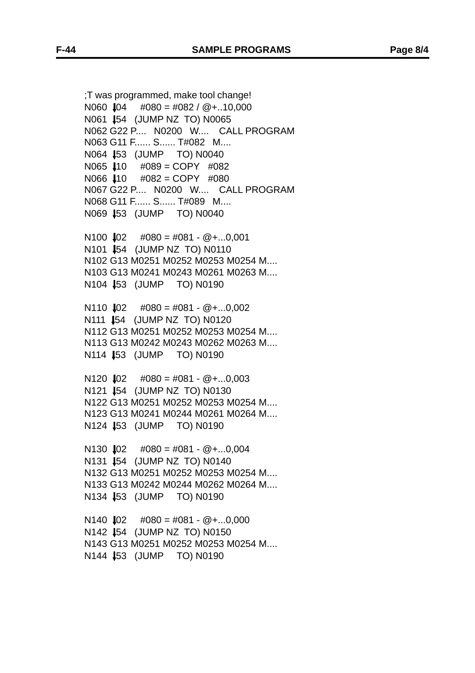;T was programmed, make tool change! N060  $\text{I}04$  #080 = #082 / @+..10.000 N061 54 (JUMP NZ TO) N0065 N062 G22 P.... N0200 W.... CALL PROGRAM N063 G11 F...... S...... T#082 M.... N064 53 (JUMP TO) N0040 N065  $\text{110}$  #089 = COPY #082  $N066$   $110$   $\#082 = \text{COPY}$   $\#080$ N067 G22 P.... N0200 W.... CALL PROGRAM N068 G11 F...... S...... T#089 M.... N069 53 (JUMP TO) N0040

 $N100$   $102$   $\#080 = #081 - @ + ... 0.001$ N101 54 (JUMP NZ TO) N0110 N102 G13 M0251 M0252 M0253 M0254 M.... N103 G13 M0241 M0243 M0261 M0263 M.... N104 53 (JUMP TO) N0190

 $N110$   $102$   $\#080 = #081 - @ + ...0.002$ N111 **1**54 (JUMP NZ TO) N0120 N112 G13 M0251 M0252 M0253 M0254 M.... N113 G13 M0242 M0243 M0262 M0263 M.... N114 53 (JUMP TO) N0190

 $N120$   $102$   $\#080 = #081 - @ + ...0,003$ N121 54 (JUMP NZ TO) N0130 N122 G13 M0251 M0252 M0253 M0254 M.... N123 G13 M0241 M0244 M0261 M0264 M.... N124 53 (JUMP TO) N0190

 $N130$   $102$   $\#080 = #081 - @ + ...0,004$ N131 54 (JUMP NZ TO) N0140 N132 G13 M0251 M0252 M0253 M0254 M.... N133 G13 M0242 M0244 M0262 M0264 M.... N134 **J**53 (JUMP TO) N0190

 $N140$   $102$   $\#080 = #081 - @ + ...0,000$ N142 **J**54 (JUMP NZ TO) N0150 N143 G13 M0251 M0252 M0253 M0254 M.... N144 53 (JUMP TO) N0190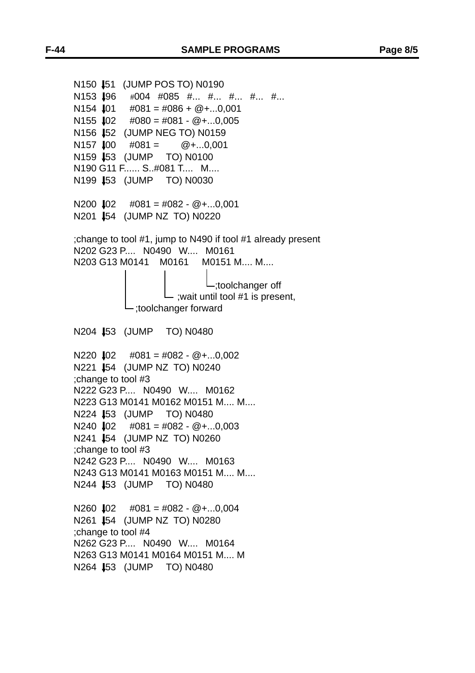```
N150 451 (JUMP POS TO) N0190
N153 \textsf{I}96 #004 #085 #... #... #... #... #...
N154 \downarrow01 \#081 = #086 + @ + \dots 0,001N155 102 \#080 = #081 - @ +...0.005N156 152 (JUMP NEG TO) N0159
N157 100 \#081 = \textcircled{2} + \dots 0.001N159 453 (JUMP TO) N0100
N190 G11 F...... S..#081 T.... M....
N199 153 (JUMP TO) N0030
N200 \bigdownarrow 02 \quad #081 = #082 - @ +...0,001N201 154 (JUMP NZ TO) N0220
;change to tool #1, jump to N490 if tool #1 already present
N202 G23 P.... N0490 W.... M0161
N203 G13 M0141 M0161 M0151 M.... M....
                             ;toolchanger off
                   \vdash; wait until tool #1 is present,
             ;toolchanger forward
N204 53 (JUMP TO) N0480
N220 102 \#081 = #082 - @ +...0.002N221 54 (JUMP NZ TO) N0240
;change to tool #3
N222 G23 P.... N0490 W.... M0162
N223 G13 M0141 M0162 M0151 M.... M....
N224 53 (JUMP TO) N0480
N240 102 \#081 = #082 - @ +...0.003N241 54 (JUMP NZ TO) N0260
;change to tool #3
N242 G23 P.... N0490 W.... M0163
N243 G13 M0141 M0163 M0151 M.... M....
N244 53 (JUMP TO) N0480
N260 102 \#081 = #082 - @ +...0.004N261 54 (JUMP NZ TO) N0280
;change to tool #4
N262 G23 P.... N0490 W.... M0164
N263 G13 M0141 M0164 M0151 M.... M
N264 53 (JUMP TO) N0480
```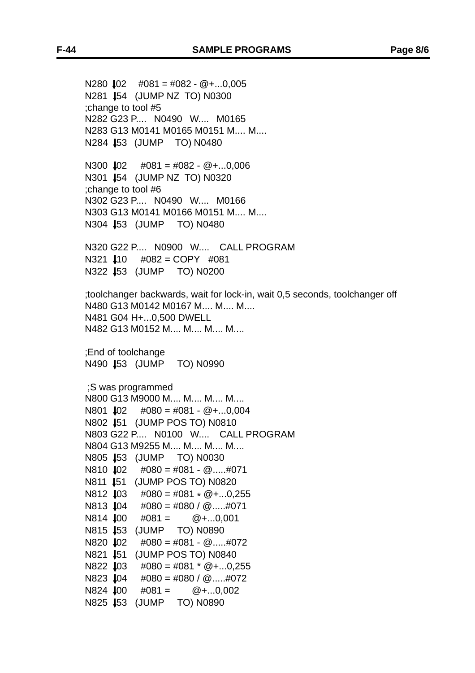N280  $\downarrow$ 02 #081 = #082 - @+...0,005 N281 54 (JUMP NZ TO) N0300 ;change to tool #5 N282 G23 P.... N0490 W.... M0165 N283 G13 M0141 M0165 M0151 M.... M.... N284 53 (JUMP TO) N0480

N300  $\downarrow$ 02 #081 = #082 - @+...0,006 N301 **454 (JUMP NZ TO) N0320** ;change to tool #6 N302 G23 P.... N0490 W.... M0166 N303 G13 M0141 M0166 M0151 M.... M.... N304 53 (JUMP TO) N0480

N320 G22 P.... N0900 W.... CALL PROGRAM N321  $\text{I}10$  #082 = COPY #081 N322 53 (JUMP TO) N0200

;toolchanger backwards, wait for lock-in, wait 0,5 seconds, toolchanger off N480 G13 M0142 M0167 M.... M.... M.... N481 G04 H+...0,500 DWELL N482 G13 M0152 M.... M.... M.... M....

;End of toolchange N490 **153** (JUMP TO) N0990

 ;S was programmed N800 G13 M9000 M.... M.... M.... M.... N801  $\downarrow$ 02 #080 = #081 - @+...0,004 N802 **151 (JUMP POS TO) N0810** N803 G22 P.... N0100 W.... CALL PROGRAM N804 G13 M9255 M.... M.... M.... M.... N805 **453** (JUMP TO) N0030  $N810$   $102$   $\#080 = #081 - @.....#071$ N811 **451 (JUMP POS TO) N0820**  $N812$   $103$   $\#080 = #081 * @ + ...0.255$ N813  $\text{I}04$  #080 = #080 / @.....#071  $N814$   $100$   $\#081 =$   $\textcircled{1} + ...0,001$ N815 153 (JUMP TO) N0890  $N820$   $102$   $\#080 = #081 - @.....#072$ N821 **451 (JUMP POS TO) N0840** N822  $\text{103}$  #080 = #081  $\text{*}$  @+...0,255 N823  $\downarrow$ 04 #080 = #080 / @.....#072  $N824$   $100$   $\#081 =$   $\textcircled{1} + \dots 0.002$ N825 153 (JUMP TO) N0890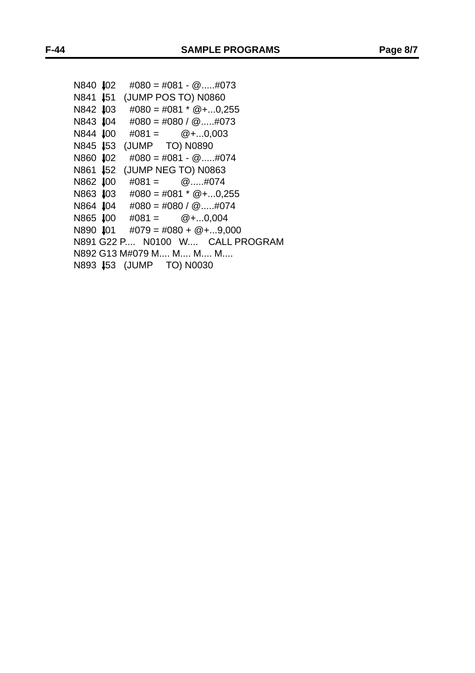| N840 102         | $\#080 = \#081 - @\#073$                     |
|------------------|----------------------------------------------|
| N841 <b>I</b> 51 | (JUMP POS TO) N0860                          |
|                  | N842 $\downarrow$ 03 #080 = #081 * @+0,255   |
|                  | N843 $\downarrow$ 04 #080 = #080 / @#073     |
| N844 <b>J</b> 00 | $\#081 = \textcircled{2} + \dots 0,003$      |
|                  | N845 453 (JUMP TO) N0890                     |
| N860 ↓02         | $\#080 = \#081 - @\#074$                     |
| N861 <b>J</b> 52 | (JUMP NEG TO) N0863                          |
| N862 <b>J</b> 00 | $\#081 = \qquad \textcircled{2} \dots \#074$ |
|                  | N863 $\downarrow$ 03 #080 = #081 * @+0,255   |
|                  | N864 $\downarrow$ 04 #080 = #080 / @#074     |
|                  | N865 $\downarrow$ 00 #081 = @+0,004          |
|                  | N890 $\downarrow$ 01 #079 = #080 + @+9,000   |
|                  | N891 G22 P N0100 W CALL PROGRAM              |
|                  | N892 G13 M#079 M M M M                       |
|                  | N893 453 (JUMP TO) N0030                     |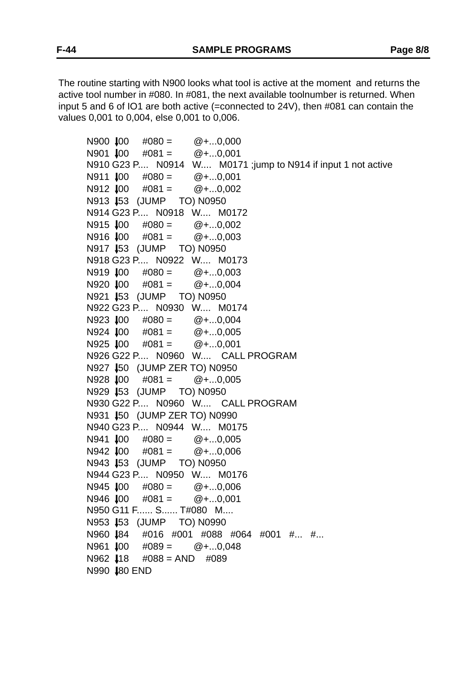The routine starting with N900 looks what tool is active at the moment and returns the active tool number in #080. In #081, the next available toolnumber is returned. When input 5 and 6 of IO1 are both active (=connected to 24V), then #081 can contain the values 0,001 to 0,004, else 0,001 to 0,006.

 $N900$   $100$   $\#080 =$   $\textcircled{2} + ...0.000$  $N901$   $J00$   $\#081 =$   $@+...0,001$ N910 G23 P.... N0914 W.... M0171 ;jump to N914 if input 1 not active  $N911$   $J00$   $\#080 =$   $Q + ...0,001$  $N912$   $100$   $\#081 =$   $\textcircled{2} + \dots 0.002$ N913 **153** (JUMP TO) N0950 N914 G23 P.... N0918 W.... M0172  $N915$   $100$   $\#080 =$   $\textcircled{2} + ... 0.002$  $N916$   $100$   $\#081 =$   $\textcircled{2} + \dots 0,003$ N917 **153 (JUMP TO) N0950** N918 G23 P.... N0922 W.... M0173  $N919 \downarrow 00 \quad #080 = \quad \textcircled{2} + \dots 0,003$  $N920$   $100$   $\#081 =$   $\textcircled{a} + \dots 0.004$ N921 **153** (JUMP TO) N0950 N922 G23 P.... N0930 W.... M0174  $N923$   $100$   $\#080 =$   $\textcircled{2} + ...0.004$  $N924$   $100$   $\#081 =$   $\textcircled{1} + \dots 0,005$  $N925$   $100$   $\#081 =$   $\textcircled{1} + ...0.001$ N926 G22 P.... N0960 W.... CALL PROGRAM N927 **150 (JUMP ZER TO) N0950**  $N928$   $100$   $\#081 =$   $\textcircled{2} + \dots 0,005$ N929 153 (JUMP TO) N0950 N930 G22 P.... N0960 W.... CALL PROGRAM N931 **150 (JUMP ZER TO) N0990** N940 G23 P.... N0944 W.... M0175  $N941$   $100$   $\#080 =$   $\textcircled{1} + ...0.005$  $N942$   $100$   $\#081 =$   $\textcircled{2} + \dots 0.006$ N943 **453 (JUMP TO) N0950** N944 G23 P.... N0950 W.... M0176  $N945$   $100$   $\#080 =$   $\textcircled{1} + ...0.006$  $N946$   $100$   $\#081 =$   $\textcircled{1} + ...0.001$ N950 G11 F...... S...... T#080 M.... N953 **153** (JUMP TO) N0990 N960 84 #016 #001 #088 #064 #001 #... #...  $N961$   $100$   $\#089 =$   $\textcircled{1} + ...0.048$  $N962$   $118$   $\#088 =$  AND  $\#089$ N990 **180 END**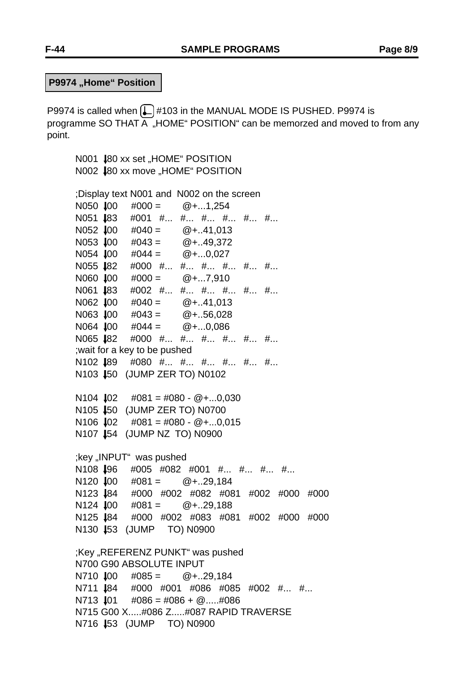**P9974 "Home" Position** 

P9974 is called when  $\Box$  #103 in the MANUAL MODE IS PUSHED. P9974 is programme SO THAT A "HOME" POSITION" can be memorzed and moved to from any point.

```
N001 80 xx set "HOME" POSITION
N002 $80 xx move "HOME" POSITION
;Display text N001 and N002 on the screen
N050 100 \#000 = \textcircled{1} + ...1,254N051 483 #001 #... #... #... #... #... #...
N052 \downarrow00 #040 = @+..41,013
N053 \downarrow00 #043 = \textcircled{2} + \dots 49,372N054 \downarrow00 #044 = \textcircled{a}+...0,027
N055 82 #000 #... #... #... #... #... #...
N060 \downarrow00 #000 = @+...7,910
N061 183 #002 #... #... #... #... #... #...
N062 \downarrow00 #040 = @+..41,013
N063 \text{J}00 #043 = @+..56,028
N064 100 \#044 = \textcircled{2} + \dots 0,086N065 $82 #000 #... #... #... #... #... #...
;wait for a key to be pushed
N102 189 #080 #... #... #... #... #... #...
N103 150 (JUMP ZER TO) N0102
N104 102 \#081 = #080 - @ +...0.030N105 $50 (JUMP ZER TO) N0700
N106 \downarrow 02 \#081 = \#080 - \textcircled{2} + \dots 0,015N107 154 (JUMP NZ TO) N0900
;key "INPUT" was pushed
N108 196 #005 #082 #001 #... #... #... #...
N120 100 \#081 = \textcircled{a} + .29,184N123 84 #000 #002 #082 #081 #002 #000 #000
N124 100 \#081 = \textcircled{a} + .29.188N125 84 #000 #002 #083 #081 #002 #000 #000
N130 153 (JUMP TO) N0900
;Key "REFERENZ PUNKT" was pushed
N700 G90 ABSOLUTE INPUT
N710 100 \#085 = \textcircled{2} + \dots 29.184N711 184 #000 #001 #086 #085 #002 #... #...
N713 101 \#086 = #086 + @.....#086N715 G00 X.....#086 Z.....#087 RAPID TRAVERSE
N716 453 (JUMP TO) N0900
```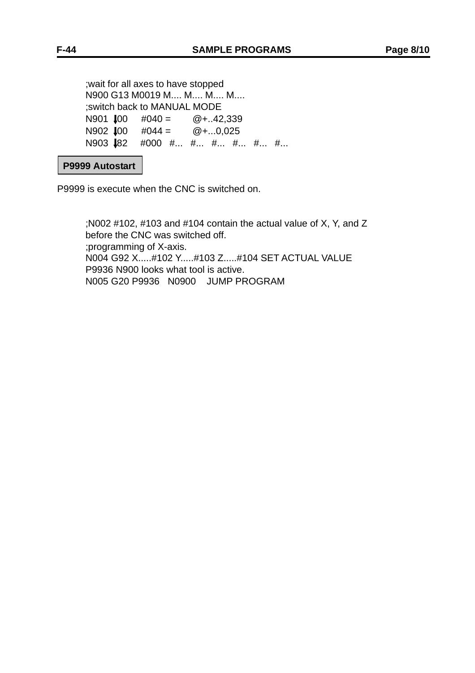;wait for all axes to have stopped N900 G13 M0019 M.... M.... M.... M.... ;switch back to MANUAL MODE N901  $\text{IO}$  #040 = @+..42,339 N902  $\text{\#}00 \neq 0.044 = \text{\#}0.0025$ N903 **182** #000 #... #... #... #... #... #...

#### **P9999 Autostart**

P9999 is execute when the CNC is switched on.

;N002 #102, #103 and #104 contain the actual value of X, Y, and Z before the CNC was switched off. ;programming of X-axis. N004 G92 X.....#102 Y.....#103 Z.....#104 SET ACTUAL VALUE P9936 N900 looks what tool is active. N005 G20 P9936 N0900 JUMP PROGRAM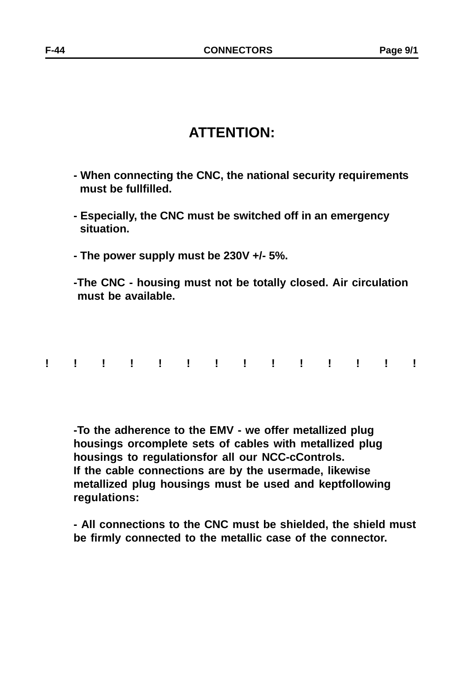# **ATTENTION:**

- **When connecting the CNC, the national security requirements must be fullfilled.**
- **Especially, the CNC must be switched off in an emergency situation.**
- **The power supply must be 230V +/- 5%.**
- **-The CNC housing must not be totally closed. Air circulation must be available.**
- **!!!!!!!!!!!!!!**

**-To the adherence to the EMV - we offer metallized plug housings orcomplete sets of cables with metallized plug housings to regulationsfor all our NCC-cControls. If the cable connections are by the usermade, likewise metallized plug housings must be used and keptfollowing regulations:**

**- All connections to the CNC must be shielded, the shield must be firmly connected to the metallic case of the connector.**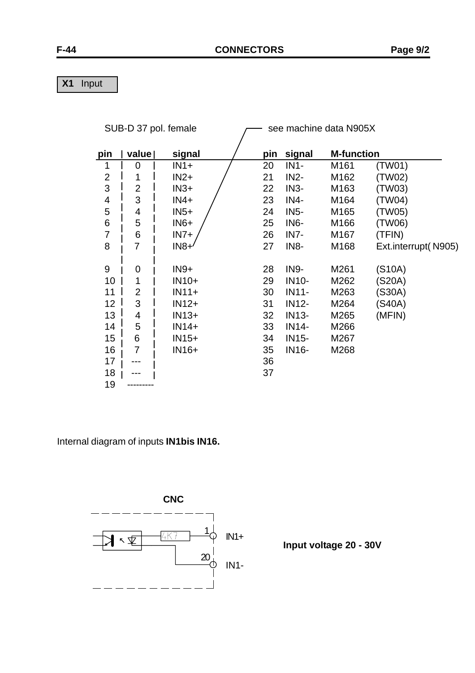**X1** Input

| SUB-D 37 pol. female |                |         |     |                   | see machine data N905X |                     |
|----------------------|----------------|---------|-----|-------------------|------------------------|---------------------|
| pin                  | value          | signal  | pin | signal            | <b>M-function</b>      |                     |
| 1                    | $\overline{0}$ | $IN1+$  | 20  | $IN1-$            | M161                   | (TW01)              |
| $\overline{2}$       | 1              | $IN2+$  | 21  | $IN2-$            | M162                   | (TW02)              |
| 3                    | $\overline{2}$ | $IN3+$  | 22  | $IN3-$            | M163                   | (TW03)              |
| 4                    | 3              | $IN4+$  | 23  | IN4-              | M164                   | (TW04)              |
| 5                    | 4              | $IN5+$  | 24  | $IN5-$            | M165                   | (TW05)              |
| $\,6$                | 5              | $IN6+$  | 25  | IN <sub>6</sub> - | M166                   | (TW06)              |
| $\overline{7}$       | 6              | $IN7+$  | 26  | IN <sub>7</sub> - | M167                   | (TFIN)              |
| 8                    | 7              | $IN8+$  | 27  | IN <sub>8</sub> - | M168                   | Ext.interrupt(N905) |
|                      |                |         |     |                   |                        |                     |
| 9                    | 0              | $IN9+$  | 28  | <b>IN9-</b>       | M261                   | (S10A)              |
| 10                   | 1              | $IN10+$ | 29  | <b>IN10-</b>      | M262                   | (S20A)              |
| 11                   | $\overline{2}$ | $IN11+$ | 30  | <b>IN11-</b>      | M263                   | (S30A)              |
| 12                   | 3              | $IN12+$ | 31  | <b>IN12-</b>      | M264                   | (S40A)              |
| 13                   | 4              | $IN13+$ | 32  | <b>IN13-</b>      | M265                   | (MFIN)              |
| 14                   | 5              | $IN14+$ | 33  | <b>IN14-</b>      | M266                   |                     |
| 15                   | 6              | $IN15+$ | 34  | <b>IN15-</b>      | M267                   |                     |
| 16                   | $\overline{7}$ | IN16+   | 35  | IN16-             | M268                   |                     |
| 17                   |                |         | 36  |                   |                        |                     |
| 18                   |                |         | 37  |                   |                        |                     |
| 19                   |                |         |     |                   |                        |                     |

Internal diagram of inputs **IN1bis IN16.**



**Input voltage 20 - 30V**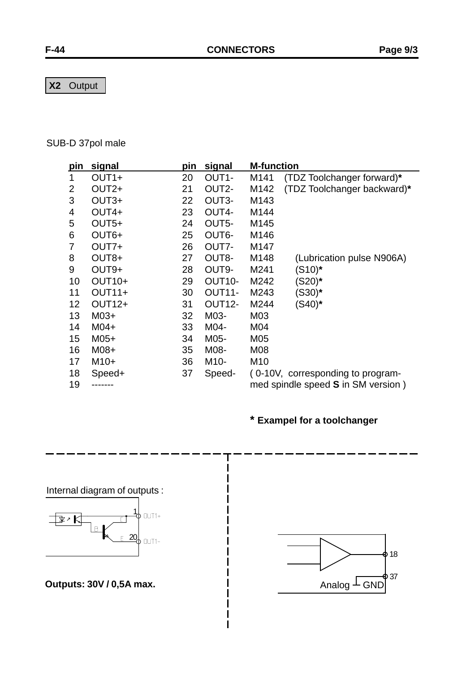**X2** Output

## SUB-D 37pol male

| <u>pin</u>     | signal             | pin | <u>signal</u>       | <b>M-function</b> |                                    |
|----------------|--------------------|-----|---------------------|-------------------|------------------------------------|
|                | OUT <sub>1+</sub>  | 20  | OUT1-               | M141              | (TDZ Toolchanger forward)*         |
| $\overline{2}$ | OUT <sub>2+</sub>  | 21  | OUT2-               | M142              | (TDZ Toolchanger backward)*        |
| 3              | OUT <sub>3+</sub>  | 22  | OUT3-               | M143              |                                    |
| 4              | OUT4+              | 23  | OUT4-               | M144              |                                    |
| 5              | OUT5+              | 24  | OUT5-               | M145              |                                    |
| 6              | OUT6+              | 25  | OUT6-               | M146              |                                    |
| 7              | OUT7+              | 26  | OUT7-               | M147              |                                    |
| 8              | OUT8+              | 27  | OUT8-               | M148              | (Lubrication pulse N906A)          |
| 9              | OUT9+              | 28  | OUT9-               | M241              | $(S10)^*$                          |
| 10             | OUT <sub>10+</sub> | 29  | OUT <sub>10</sub> - | M242              | (S20)*                             |
| 11             | OUT11+             | 30  | OUT <sub>11</sub> - | M243              | (S30)*                             |
| 12             | <b>OUT12+</b>      | 31  | OUT <sub>12</sub> - | M244              | $(S40)^*$                          |
| 13             | $M03+$             | 32  | M03-                | M03               |                                    |
| 14             | $M04+$             | 33  | M04-                | M04               |                                    |
| 15             | $M05+$             | 34  | M05-                | M05               |                                    |
| 16             | $M08+$             | 35  | M08-                | M08               |                                    |
| 17             | $M10+$             | 36  | M <sub>10</sub> -   | M <sub>10</sub>   |                                    |
| 18             | Speed+             | 37  | Speed-              |                   | (0-10V, corresponding to program-  |
| 19             | -----              |     |                     |                   | med spindle speed S in SM version) |

T

# **\* Exampel for a toolchanger**

Internal diagram of outputs :



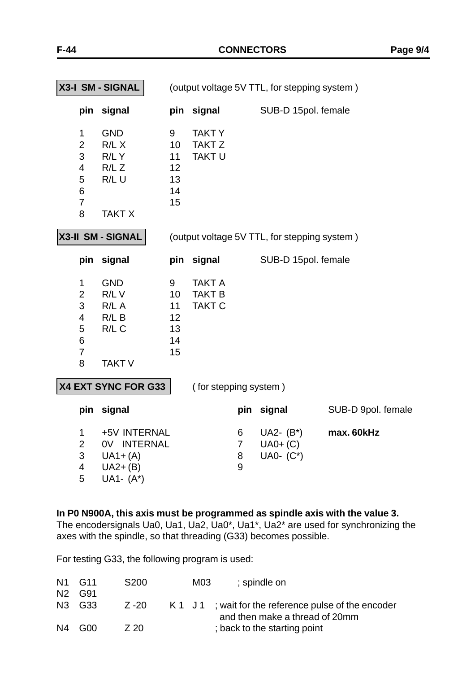| X3-I SM - SIGNAL                                                                               |                                                                        | (output voltage 5V TTL, for stepping system) |                                                 |                               |                                              |                    |
|------------------------------------------------------------------------------------------------|------------------------------------------------------------------------|----------------------------------------------|-------------------------------------------------|-------------------------------|----------------------------------------------|--------------------|
|                                                                                                | pin signal                                                             |                                              | pin signal                                      |                               | SUB-D 15pol. female                          |                    |
| $\mathbf 1$<br>$\overline{2}$<br>3<br>$\overline{\mathbf{4}}$<br>5<br>6<br>$\overline{7}$<br>8 | <b>GND</b><br>R/L X<br>R/LY<br>R/LZ<br>$R/L$ U<br><b>TAKT X</b>        | 9<br>10<br>11<br>12<br>13<br>14<br>15        | <b>TAKTY</b><br><b>TAKT Z</b><br>TAKT U         |                               |                                              |                    |
|                                                                                                | X3-II SM - SIGNAL                                                      |                                              |                                                 |                               | (output voltage 5V TTL, for stepping system) |                    |
|                                                                                                | pin signal                                                             |                                              | pin signal                                      |                               | SUB-D 15pol. female                          |                    |
| 1<br>$\overline{2}$<br>3<br>4<br>5<br>6<br>$\overline{7}$<br>8                                 | <b>GND</b><br>R/LV<br>$R/L$ A<br>$R/L$ B<br>$R/L$ C<br><b>TAKT V</b>   | 9<br>10<br>11<br>12<br>13<br>14<br>15        | <b>TAKT A</b><br><b>TAKT B</b><br><b>TAKT C</b> |                               |                                              |                    |
| X4 EXT SYNC FOR G33                                                                            |                                                                        |                                              | (for stepping system)                           |                               |                                              |                    |
| pin                                                                                            | signal                                                                 |                                              |                                                 |                               | pin signal                                   | SUB-D 9pol. female |
| $\mathbf 1$<br>$\overline{2}$<br>3<br>$\overline{\mathbf{4}}$<br>5                             | +5V INTERNAL<br>0V INTERNAL<br>$UA1+(A)$<br>$U_A2+(B)$<br>UA1- $(A^*)$ |                                              |                                                 | 6<br>$\overline{7}$<br>8<br>9 | UA2- $(B^*)$<br>$UAO+ (C)$<br>UA0- $(C^*)$   | max. 60kHz         |

**In P0 N900A, this axis must be programmed as spindle axis with the value 3.** The encodersignals Ua0, Ua1, Ua2, Ua0\*, Ua1\*, Ua2\* are used for synchronizing the

axes with the spindle, so that threading (G33) becomes possible.

For testing G33, the following program is used:

|                | N1 G11 | S <sub>200</sub> | M03 | ; spindle on                                                                           |
|----------------|--------|------------------|-----|----------------------------------------------------------------------------------------|
| N2             | G91    |                  |     |                                                                                        |
|                | N3 G33 | Z -20            |     | K 1 J 1; wait for the reference pulse of the encoder<br>and then make a thread of 20mm |
| N <sub>4</sub> | G00    | <b>720</b>       |     | ; back to the starting point                                                           |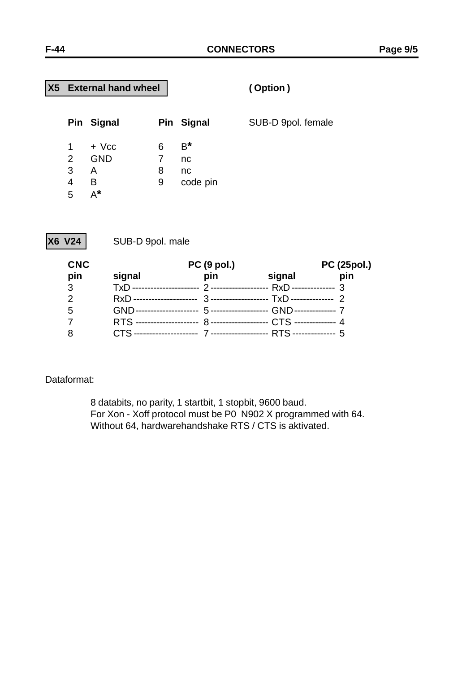# **X5 External hand wheel ( Option )**

|                               | Pin Signal                             |                  | Pin Signal                    | SUB-D 9pol. female |
|-------------------------------|----------------------------------------|------------------|-------------------------------|--------------------|
| $\overline{2}$<br>3<br>4<br>5 | + Vcc<br><b>GND</b><br>A<br>В<br>$A^*$ | 6<br>7<br>8<br>9 | $B^*$<br>nc<br>nc<br>code pin |                    |

**X6 V24** SUB-D 9pol. male

| <b>CNC</b> |                           | <b>PC (9 pol.)</b> |                                            | <b>PC (25pol.)</b> |
|------------|---------------------------|--------------------|--------------------------------------------|--------------------|
| pin        | signal                    | pin                | signal                                     | pin                |
| 3          |                           |                    | RxD --------------- 3                      |                    |
| 2          | RxD --------------------- |                    | 3-------------------- TxD--------------- 2 |                    |
| 5          |                           |                    |                                            |                    |
|            |                           |                    |                                            |                    |
| 8          |                           |                    |                                            |                    |

#### Dataformat:

8 databits, no parity, 1 startbit, 1 stopbit, 9600 baud. For Xon - Xoff protocol must be P0 N902 X programmed with 64. Without 64, hardwarehandshake RTS / CTS is aktivated.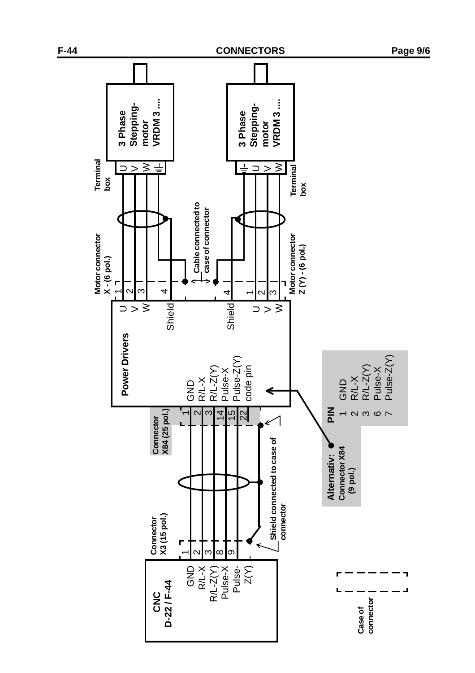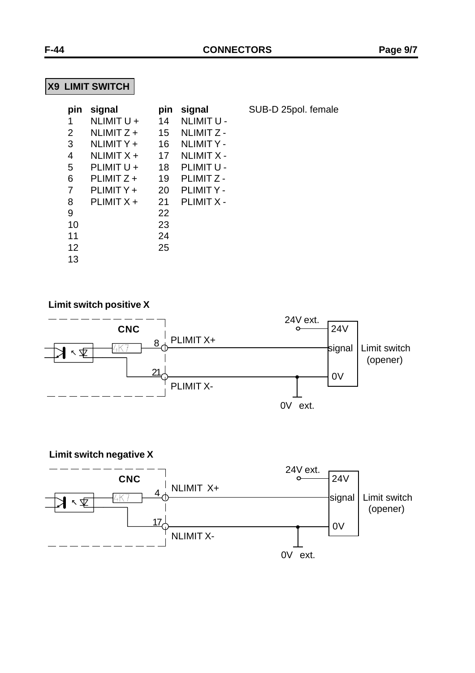**SUB-D 25pol. female** 

# **X9 LIMIT SWITCH**

| pin | signal       | pin | signal            |
|-----|--------------|-----|-------------------|
| 1   | NLIMIT U +   | 14  | <b>NLIMIT U -</b> |
| 2   | $NLIMITZ +$  | 15  | <b>NLIMIT Z-</b>  |
| 3   | NLIMITY +    | 16  | <b>NLIMITY-</b>   |
| 4   | NLIMIT X +   | 17  | <b>NLIMIT X -</b> |
| 5   | PLIMIT U +   | 18  | PLIMIT U -        |
| 6   | PLIMIT Z +   | 19  | PLIMIT Z -        |
| 7   | PLIMITY +    | 20  | <b>PLIMITY-</b>   |
| 8   | PLIMIT $X +$ | 21  | <b>PLIMIT X -</b> |
| 9   |              | 22  |                   |
| 10  |              | 23  |                   |
| 11  |              | 24  |                   |
| 12  |              | 25  |                   |
| 13  |              |     |                   |

#### **Limit switch positive X**



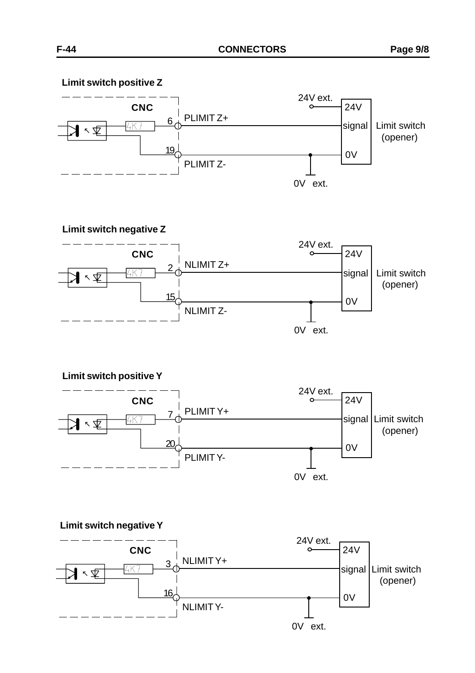**Limit switch positive Z**







**Limit switch positive Y**



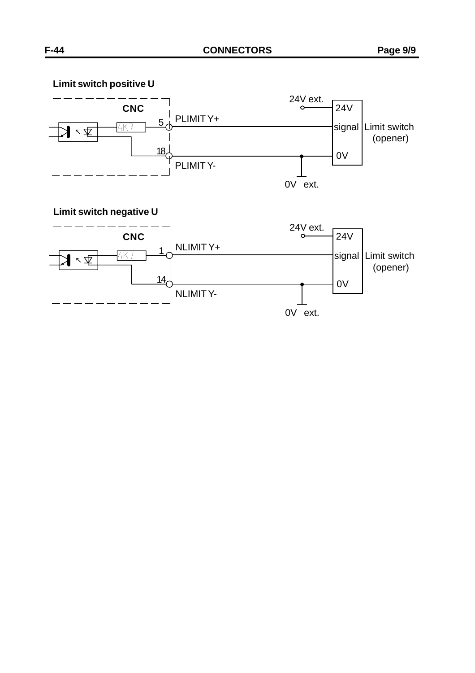## **Limit switch positive U**



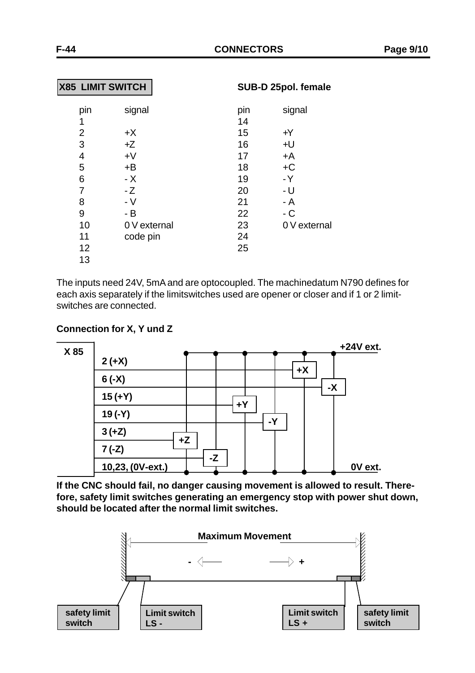| <b>X85 LIMIT SWITCH</b>         |                      | SUB-D 25pol. female   |                      |  |
|---------------------------------|----------------------|-----------------------|----------------------|--|
| pin<br>1<br>$\overline{2}$<br>3 | signal<br>$+X$<br>+Z | pin<br>14<br>15<br>16 | signal<br>$+Y$<br>+U |  |
| 4                               | $+V$                 | 17                    | +A                   |  |
| 5                               | +B                   | 18                    | $+C$                 |  |
| 6                               | - X                  | 19                    | $-Y$                 |  |
| 7                               | - Z                  | 20                    | - U                  |  |
| 8                               | $-V$                 | 21                    | $- A$                |  |
| 9                               | - B                  | 22                    | $-C$                 |  |
| 10                              | 0 V external         | 23                    | 0 V external         |  |
| 11                              | code pin             | 24                    |                      |  |
| 12                              |                      | 25                    |                      |  |
| 13                              |                      |                       |                      |  |

The inputs need 24V, 5mA and are optocoupled. The machinedatum N790 defines for each axis separately if the limitswitches used are opener or closer and if 1 or 2 limitswitches are connected.

#### **Connection for X, Y und Z**



**If the CNC should fail, no danger causing movement is allowed to result. Therefore, safety limit switches generating an emergency stop with power shut down, should be located after the normal limit switches.**

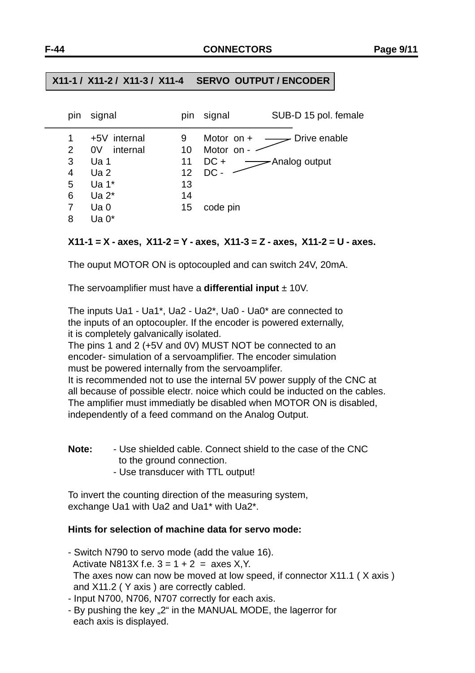#### **X11-1 / X11-2 / X11-3 / X11-4 SERVO OUTPUT / ENCODER**

| pin | signal            | pin | signal       | SUB-D 15 pol. female |
|-----|-------------------|-----|--------------|----------------------|
|     | +5V internal      | 9   | Motor on $+$ | Drive enable         |
| 2   | 0V<br>internal    | 10  | Motor on -   |                      |
| 3   | Ua <sub>1</sub>   | 11  | $DC +$       | -Analog output       |
| 4   | Ua <sub>2</sub>   | 12  | DC -         |                      |
| 5   | Ua 1*             | 13  |              |                      |
| 6   | Ua 2 <sup>*</sup> | 14  |              |                      |
|     | Ua <sub>0</sub>   | 15  | code pin     |                      |
| 8   | Ua 0*             |     |              |                      |

#### **X11-1 = X - axes, X11-2 = Y - axes, X11-3 = Z - axes, X11-2 = U - axes.**

The ouput MOTOR ON is optocoupled and can switch 24V, 20mA.

The servoamplifier must have a **differential input** ± 10V.

The inputs Ua1 - Ua1\*, Ua2 - Ua2\*, Ua0 - Ua0\* are connected to the inputs of an optocoupler. If the encoder is powered externally, it is completely galvanically isolated.

The pins 1 and 2 (+5V and 0V) MUST NOT be connected to an encoder- simulation of a servoamplifier. The encoder simulation must be powered internally from the servoamplifer.

It is recommended not to use the internal 5V power supply of the CNC at all because of possible electr. noice which could be inducted on the cables. The amplifier must immediatly be disabled when MOTOR ON is disabled, independently of a feed command on the Analog Output.

- **Note:** Use shielded cable. Connect shield to the case of the CNC to the ground connection.
	- Use transducer with TTL output!

To invert the counting direction of the measuring system, exchange Ua1 with Ua2 and Ua1\* with Ua2\*.

#### **Hints for selection of machine data for servo mode:**

- Switch N790 to servo mode (add the value 16). Activate N813X f.e.  $3 = 1 + 2 = 2$  axes X, Y. The axes now can now be moved at low speed, if connector X11.1 ( X axis ) and X11.2 ( Y axis ) are correctly cabled.

- Input N700, N706, N707 correctly for each axis.
- By pushing the key "2" in the MANUAL MODE, the lagerror for each axis is displayed.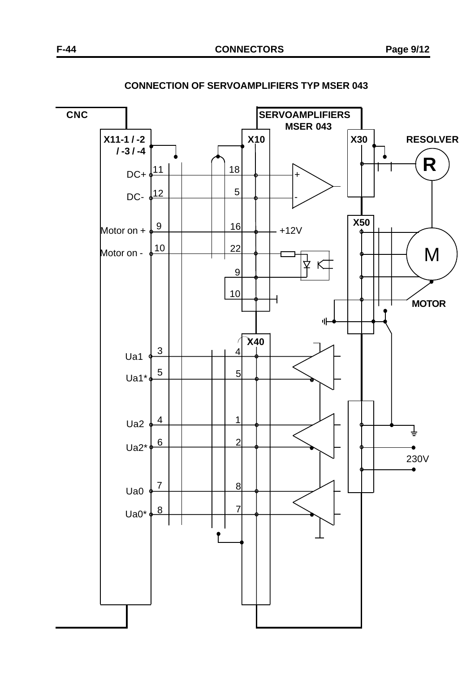**CNC** CNC SERVOAMPLIFIERS **MSER 043 X11-1 / -2** X10 X10 X10 X30 RESOLVER  **/ -3 / -4 R** 18 DC+ + 11  $12$  5 DC- <del>6<sup>12</sup> | | | | | | <sup>3</sup>| | | |</del> -**X50** 9 16 Motor on +  $\frac{9}{2}$  +  $\frac{10}{10}$  +  $\frac{1}{2}$  +12V Motor on -  $\sqrt{10}$ 22 M ₹ K 9 10 **MOTOR**H 파 **X40** Í 3 4 Ua1 5 5 Ua1\* 4 | | | | 1 Ua<sub>2</sub> ╧ 2 6 Ua2\* 230V 7 8 Ua0 7 8 Ua0\*

**CONNECTION OF SERVOAMPLIFIERS TYP MSER 043**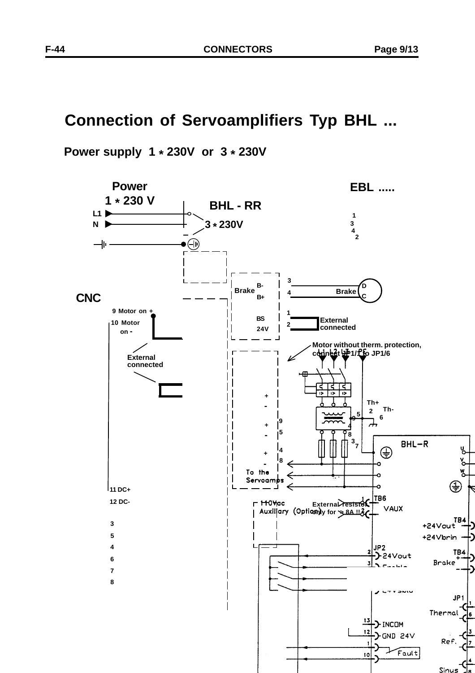## **Connection of Servoamplifiers Typ BHL ...**

 **Power supply 1 \* 230V or 3 \* 230V**

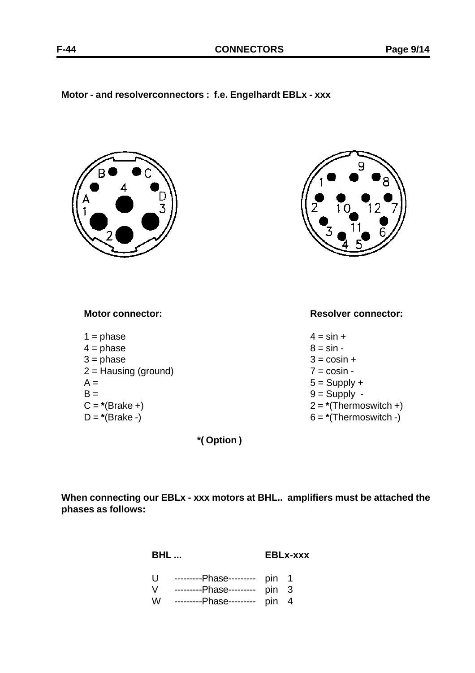#### **Motor - and resolverconnectors : f.e. Engelhardt EBLx - xxx**



**\*( Option )**

**When connecting our EBLx - xxx motors at BHL.. amplifiers must be attached the phases as follows:**

**BHL ... EBLx-xxx**

- U ---------Phase--------- pin 1
- V ---------Phase--------- pin 3
- W ---------Phase--------- pin 4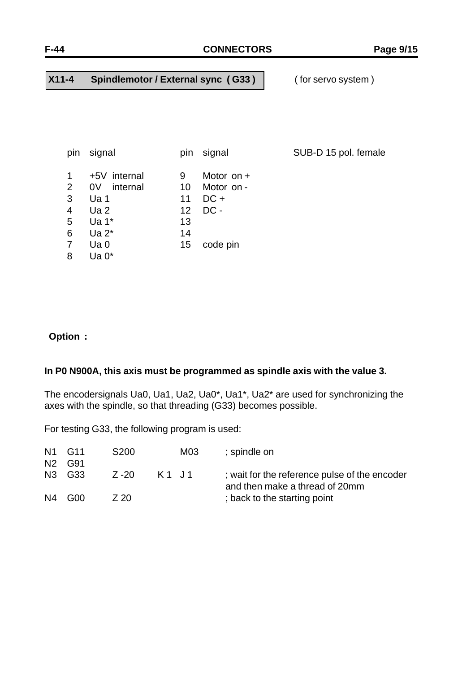#### **X11-4 Spindlemotor / External sync ( G33 )** ( for servo system )

| pin                         | signal                         | pin             | signal                     | SUB-D 15 pol. female |
|-----------------------------|--------------------------------|-----------------|----------------------------|----------------------|
| $\mathbf{1}$<br>$2^{\circ}$ | +5V internal<br>internal<br>0V | 9<br>10         | Motor on $+$<br>Motor on - |                      |
| 3                           | Ua 1                           | 11              | $DC +$                     |                      |
| $\overline{4}$              | Ua2                            | 12 <sup>2</sup> | $DC -$                     |                      |
| 5                           | Ua $1^*$                       | 13              |                            |                      |
| 6                           | Ua $2^*$                       | 14              |                            |                      |
| $\overline{7}$              | Ua <sub>0</sub>                | 15              | code pin                   |                      |
| 8                           | Ua $0^*$                       |                 |                            |                      |

### **Option :**

#### **In P0 N900A, this axis must be programmed as spindle axis with the value 3.**

The encodersignals Ua0, Ua1, Ua2, Ua0\*, Ua1\*, Ua2\* are used for synchronizing the axes with the spindle, so that threading (G33) becomes possible.

For testing G33, the following program is used:

|                | N1 G11 | S <sub>200</sub> |         | M03 | ; spindle on                                                                    |
|----------------|--------|------------------|---------|-----|---------------------------------------------------------------------------------|
| N2             | G91    |                  |         |     |                                                                                 |
| N3             | G33    | Z -20            | K 1 J 1 |     | ; wait for the reference pulse of the encoder<br>and then make a thread of 20mm |
| N <sub>4</sub> | GOO.   | 7 20             |         |     | ; back to the starting point                                                    |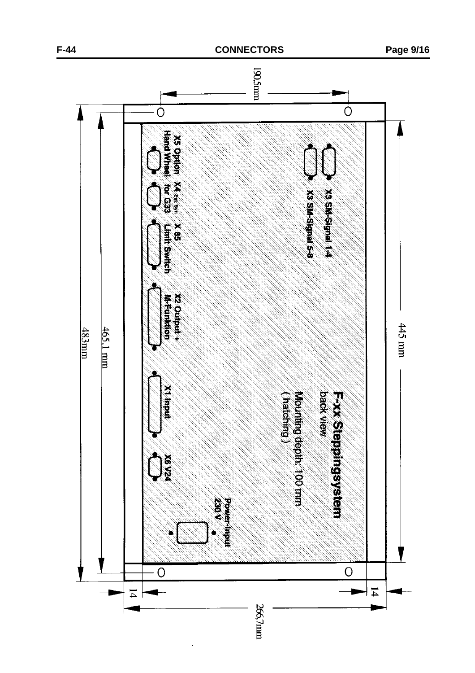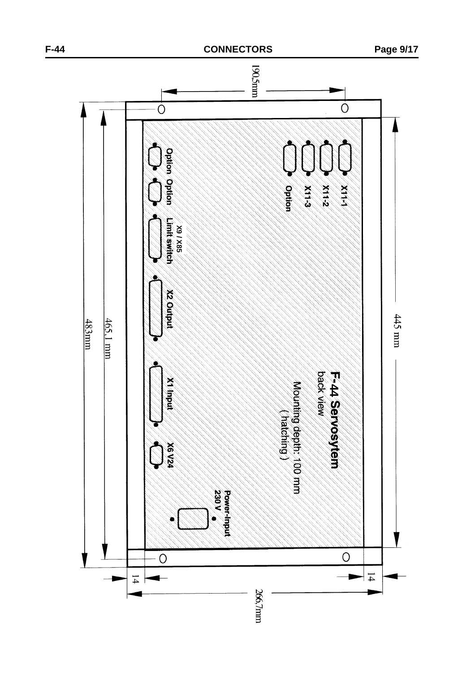